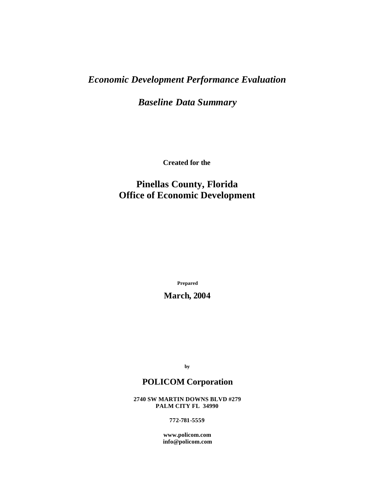# *Economic Development Performance Evaluation*

*Baseline Data Summary*

**Created for the**

## **Pinellas County, Florida Office of Economic Development**

**Prepared**

## **March, 2004**

**by**

## **POLICOM Corporation**

**2740 SW MARTIN DOWNS BLVD #279 PALM CITY FL 34990**

**772-781-5559**

**www.policom.com info@policom.com**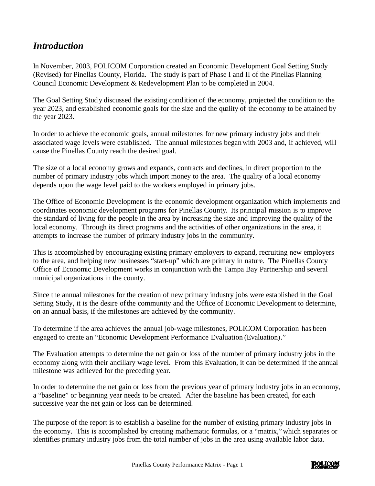## *Introduction*

In November, 2003, POLICOM Corporation created an Economic Development Goal Setting Study (Revised) for Pinellas County, Florida. The study is part of Phase I and II of the Pinellas Planning Council Economic Development & Redevelopment Plan to be completed in 2004.

The Goal Setting Study discussed the existing condition of the economy, projected the condition to the year 2023, and established economic goals for the size and the quality of the economy to be attained by the year 2023.

In order to achieve the economic goals, annual milestones for new primary industry jobs and their associated wage levels were established. The annual milestones began with 2003 and, if achieved, will cause the Pinellas County reach the desired goal.

The size of a local economy grows and expands, contracts and declines, in direct proportion to the number of primary industry jobs which import money to the area. The quality of a local economy depends upon the wage level paid to the workers employed in primary jobs.

The Office of Economic Development is the economic development organization which implements and coordinates economic development programs for Pinellas County. Its principal mission is to improve the standard of living for the people in the area by increasing the size and improving the quality of the local economy. Through its direct programs and the activities of other organizations in the area, it attempts to increase the number of primary industry jobs in the community.

This is accomplished by encouraging existing primary employers to expand, recruiting new employers to the area, and helping new businesses "start-up" which are primary in nature. The Pinellas County Office of Economic Development works in conjunction with the Tampa Bay Partnership and several municipal organizations in the county.

Since the annual milestones for the creation of new primary industry jobs were established in the Goal Setting Study, it is the desire of the community and the Office of Economic Development to determine, on an annual basis, if the milestones are achieved by the community.

To determine if the area achieves the annual job-wage milestones, POLICOM Corporation has been engaged to create an "Economic Development Performance Evaluation (Evaluation)."

The Evaluation attempts to determine the net gain or loss of the number of primary industry jobs in the economy along with their ancillary wage level. From this Evaluation, it can be determined if the annual milestone was achieved for the preceding year.

In order to determine the net gain or loss from the previous year of primary industry jobs in an economy, a "baseline" or beginning year needs to be created. After the baseline has been created, for each successive year the net gain or loss can be determined.

The purpose of the report is to establish a baseline for the number of existing primary industry jobs in the economy. This is accomplished by creating mathematic formulas, or a "matrix," which separates or identifies primary industry jobs from the total number of jobs in the area using available labor data.

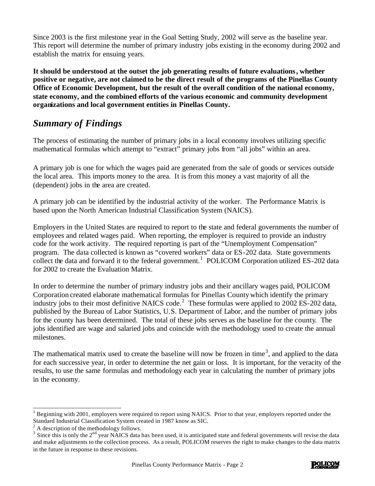Since 2003 is the first milestone year in the Goal Setting Study, 2002 will serve as the baseline year. This report will determine the number of primary industry jobs existing in the economy during 2002 and establish the matrix for ensuing years.

**It should be understood at the outset the job generating results of future evaluations, whether positive or negative, are not claimed to be the direct result of the programs of the Pinellas County Office of Economic Development, but the result of the overall condition of the national economy, state economy, and the combined efforts of the various economic and community development organizations and local government entities in Pinellas County.**

## *Summary of Findings*

The process of estimating the number of primary jobs in a local economy involves utilizing specific mathematical formulas which attempt to "extract" primary jobs from "all jobs" within an area.

A primary job is one for which the wages paid are generated from the sale of goods or services outside the local area. This imports money to the area. It is from this money a vast majority of all the (dependent) jobs in the area are created.

A primary job can be identified by the industrial activity of the worker. The Performance Matrix is based upon the North American Industrial Classification System (NAICS).

Employers in the United States are required to report to the state and federal governments the number of employees and related wages paid. When reporting, the employer is required to provide an industry code for the work activity. The required reporting is part of the "Unemployment Compensation" program. The data collected is known as "covered workers" data or ES-202 data. State governments collect the data and forward it to the federal government.<sup>1</sup> POLICOM Corporation utilized ES-202 data for 2002 to create the Evaluation Matrix.

In order to determine the number of primary industry jobs and their ancillary wages paid, POLICOM Corporation created elaborate mathematical formulas for Pinellas County which identify the primary industry jobs to their most definitive NAICS code.<sup>2</sup> These formulas were applied to 2002 ES-202 data, published by the Bureau of Labor Statistics, U.S. Department of Labor, and the number of primary jobs for the county has been determined. The total of these jobs serves as the baseline for the county. The jobs identified are wage and salaried jobs and coincide with the methodology used to create the annual milestones.

The mathematical matrix used to create the baseline will now be frozen in time<sup>3</sup>, and applied to the data for each successive year, in order to determine the net gain or loss. It is important, for the veracity of the results, to use the same formulas and methodology each year in calculating the number of primary jobs in the economy.



l 1 Beginning with 2001, employers were required to report using NAICS. Prior to that year, employers reported under the Standard Industrial Classification System created in 1987 know as SIC. 2 A description of the methodology follows.

 $3$  Since this is only the  $2<sup>nd</sup>$  year NAICS data has been used, it is anticipated state and federal governments will revise the data and make adjustments to the collection process. As a result, POLICOM reserves the right to make changes to the data matrix in the future in response to these revisions.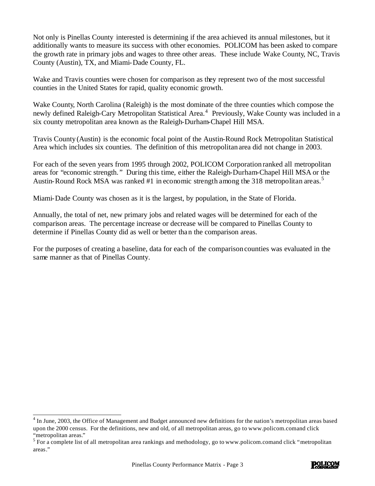Not only is Pinellas County interested is determining if the area achieved its annual milestones, but it additionally wants to measure its success with other economies. POLICOM has been asked to compare the growth rate in primary jobs and wages to three other areas. These include Wake County, NC, Travis County (Austin), TX, and Miami-Dade County, FL.

Wake and Travis counties were chosen for comparison as they represent two of the most successful counties in the United States for rapid, quality economic growth.

Wake County, North Carolina (Raleigh) is the most dominate of the three counties which compose the newly defined Raleigh-Cary Metropolitan Statistical Area.<sup>4</sup> Previously, Wake County was included in a six county metropolitan area known as the Raleigh-Durham-Chapel Hill MSA.

Travis County (Austin) is the economic focal point of the Austin-Round Rock Metropolitan Statistical Area which includes six counties. The definition of this metropolitan area did not change in 2003.

For each of the seven years from 1995 through 2002, POLICOM Corporation ranked all metropolitan areas for "economic strength. " During this time, either the Raleigh-Durham-Chapel Hill MSA or the Austin-Round Rock MSA was ranked #1 in economic strength among the 318 metropolitan areas.<sup>5</sup>

Miami-Dade County was chosen as it is the largest, by population, in the State of Florida.

Annually, the total of net, new primary jobs and related wages will be determined for each of the comparison areas. The percentage increase or decrease will be compared to Pinellas County to determine if Pinellas County did as well or better than the comparison areas.

For the purposes of creating a baseline, data for each of the comparison counties was evaluated in the same manner as that of Pinellas County.

l



<sup>4</sup> In June, 2003, the Office of Management and Budget announced new definitions for the nation's metropolitan areas based upon the 2000 census. For the definitions, new and old, of all metropolitan areas, go to www.policom.comand click "metropolitan areas."

 $5$  For a complete list of all metropolitan area rankings and methodology, go to www.policom.comand click "metropolitan" areas."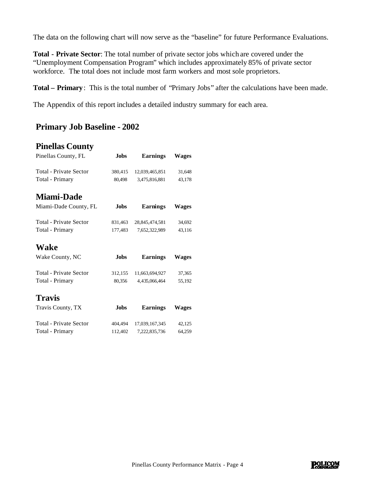The data on the following chart will now serve as the "baseline" for future Performance Evaluations.

**Total - Private Sector**: The total number of private sector jobs which are covered under the "Unemployment Compensation Program" which includes approximately 85% of private sector workforce. The total does not include most farm workers and most sole proprietors.

**Total – Primary**: This is the total number of "Primary Jobs" after the calculations have been made.

The Appendix of this report includes a detailed industry summary for each area.

### **Primary Job Baseline - 2002**

#### **Pinellas County**

| Pinellas County, FL           | <b>Jobs</b> | <b>Earnings</b> | <b>Wages</b> |
|-------------------------------|-------------|-----------------|--------------|
| <b>Total - Private Sector</b> | 380,415     | 12,039,465,851  | 31,648       |
| Total - Primary               | 80,498      | 3,475,816,881   | 43,178       |
| <b>Miami-Dade</b>             |             |                 |              |
| Miami-Dade County, FL         | <b>Jobs</b> | Earnings        | <b>Wages</b> |
| Total - Private Sector        | 831,463     | 28,845,474,581  | 34,692       |
| Total - Primary               | 177,483     | 7,652,322,989   | 43,116       |
| Wake                          |             |                 |              |
| Wake County, NC               | <b>Jobs</b> | <b>Earnings</b> | <b>Wages</b> |
| <b>Total - Private Sector</b> | 312,155     | 11,663,694,927  | 37,365       |
| Total - Primary               | 80,356      | 4,435,066,464   | 55,192       |
| <b>Travis</b>                 |             |                 |              |
| Travis County, TX             | <b>Jobs</b> | <b>Earnings</b> | Wages        |
| Total - Private Sector        | 404,494     | 17,039,167,345  | 42,125       |
| Total - Primary               | 112,402     | 7,222,835,736   | 64,259       |

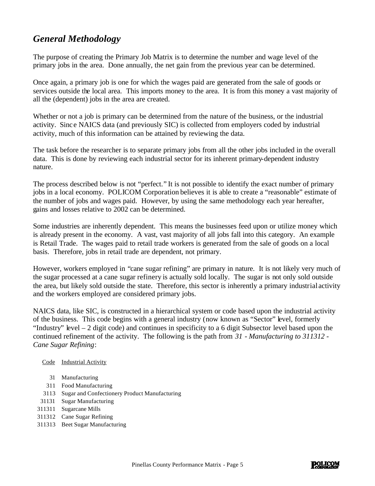# *General Methodology*

The purpose of creating the Primary Job Matrix is to determine the number and wage level of the primary jobs in the area. Done annually, the net gain from the previous year can be determined.

Once again, a primary job is one for which the wages paid are generated from the sale of goods or services outside the local area. This imports money to the area. It is from this money a vast majority of all the (dependent) jobs in the area are created.

Whether or not a job is primary can be determined from the nature of the business, or the industrial activity. Sinc e NAICS data (and previously SIC) is collected from employers coded by industrial activity, much of this information can be attained by reviewing the data.

The task before the researcher is to separate primary jobs from all the other jobs included in the overall data. This is done by reviewing each industrial sector for its inherent primary-dependent industry nature.

The process described below is not "perfect." It is not possible to identify the exact number of primary jobs in a local economy. POLICOM Corporation believes it is able to create a "reasonable" estimate of the number of jobs and wages paid. However, by using the same methodology each year hereafter, gains and losses relative to 2002 can be determined.

Some industries are inherently dependent. This means the businesses feed upon or utilize money which is already present in the economy. A vast, vast majority of all jobs fall into this category. An example is Retail Trade. The wages paid to retail trade workers is generated from the sale of goods on a local basis. Therefore, jobs in retail trade are dependent, not primary.

However, workers employed in "cane sugar refining" are primary in nature. It is not likely very much of the sugar processed at a cane sugar refinery is actually sold locally. The sugar is not only sold outside the area, but likely sold outside the state. Therefore, this sector is inherently a primary industrial activity and the workers employed are considered primary jobs.

NAICS data, like SIC, is constructed in a hierarchical system or code based upon the industrial activity of the business. This code begins with a general industry (now known as "Sector" level, formerly "Industry" level – 2 digit code) and continues in specificity to a 6 digit Subsector level based upon the continued refinement of the activity. The following is the path from *31 - Manufacturing to 311312 - Cane Sugar Refining*:

#### Code Industrial Activity

- 31 Manufacturing
- 311 Food Manufacturing
- 3113 Sugar and Confectionery Product Manufacturing
- 31131 Sugar Manufacturing
- 311311 Sugarcane Mills
- 311312 Cane Sugar Refining
- 311313 Beet Sugar Manufacturing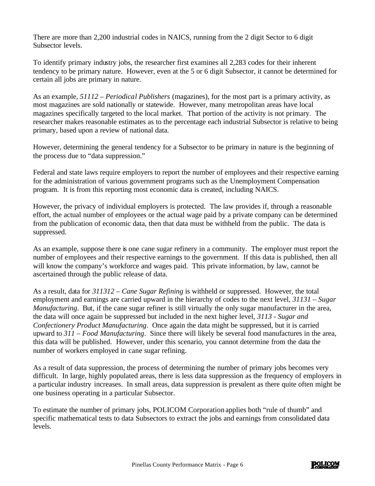There are more than 2,200 industrial codes in NAICS, running from the 2 digit Sector to 6 digit Subsector levels.

To identify primary industry jobs, the researcher first examines all 2,283 codes for their inherent tendency to be primary nature. However, even at the 5 or 6 digit Subsector, it cannot be determined for certain all jobs are primary in nature.

As an example, *51112 – Periodical Publishers* (magazines), for the most part is a primary activity, as most magazines are sold nationally or statewide. However, many metropolitan areas have local magazines specifically targeted to the local market. That portion of the activity is not primary. The researcher makes reasonable estimates as to the percentage each industrial Subsector is relative to being primary, based upon a review of national data.

However, determining the general tendency for a Subsector to be primary in nature is the beginning of the process due to "data suppression."

Federal and state laws require employers to report the number of employees and their respective earning for the administration of various government programs such as the Unemployment Compensation program. It is from this reporting most economic data is created, including NAICS.

However, the privacy of individual employers is protected. The law provides if, through a reasonable effort, the actual number of employees or the actual wage paid by a private company can be determined from the publication of economic data, then that data must be withheld from the public. The data is suppressed.

As an example, suppose there is one cane sugar refinery in a community. The employer must report the number of employees and their respective earnings to the government. If this data is published, then all will know the company's workforce and wages paid. This private information, by law, cannot be ascertained through the public release of data.

As a result, data for *311312 – Cane Sugar Refining* is withheld or suppressed. However, the total employment and earnings are carried upward in the hierarchy of codes to the next level, *31131 – Sugar Manufacturing*. But, if the cane sugar refiner is still virtually the only sugar manufacturer in the area, the data will once again be suppressed but included in the next higher level, *3113 - Sugar and Confectionery Product Manufacturing*. Once again the data might be suppressed, but it is carried upward to *311 – Food Manufacturing*. Since there will likely be several food manufactures in the area, this data will be published. However, under this scenario, you cannot determine from the data the number of workers employed in cane sugar refining.

As a result of data suppression, the process of determining the number of primary jobs becomes very difficult. In large, highly populated areas, there is less data suppression as the frequency of employers in a particular industry increases. In small areas, data suppression is prevalent as there quite often might be one business operating in a particular Subsector.

To estimate the number of primary jobs, POLICOM Corporation applies both "rule of thumb" and specific mathematical tests to data Subsectors to extract the jobs and earnings from consolidated data levels.

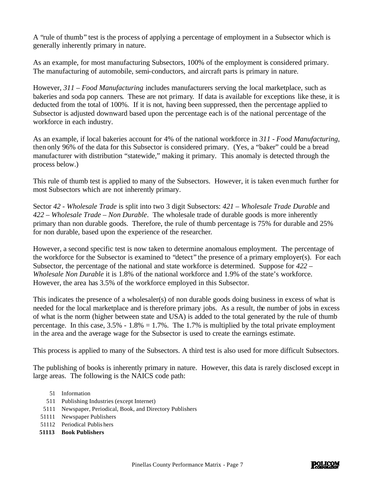A "rule of thumb" test is the process of applying a percentage of employment in a Subsector which is generally inherently primary in nature.

As an example, for most manufacturing Subsectors, 100% of the employment is considered primary. The manufacturing of automobile, semi-conductors, and aircraft parts is primary in nature.

However, *311 – Food Manufacturing* includes manufacturers serving the local marketplace, such as bakeries and soda pop canners. These are not primary. If data is available for exceptions like these, it is deducted from the total of 100%. If it is not, having been suppressed, then the percentage applied to Subsector is adjusted downward based upon the percentage each is of the national percentage of the workforce in each industry.

As an example, if local bakeries account for 4% of the national workforce in *311 - Food Manufacturing*, then only 96% of the data for this Subsector is considered primary. (Yes, a "baker" could be a bread manufacturer with distribution "statewide," making it primary. This anomaly is detected through the process below.)

This rule of thumb test is applied to many of the Subsectors. However, it is taken even much further for most Subsectors which are not inherently primary.

Sector *42 - Wholesale Trade* is split into two 3 digit Subsectors: *421 – Wholesale Trade Durable* and *422 – Wholesale Trade – Non Durable*. The wholesale trade of durable goods is more inherently primary than non durable goods. Therefore, the rule of thumb percentage is 75% for durable and 25% for non durable, based upon the experience of the researcher.

However, a second specific test is now taken to determine anomalous employment. The percentage of the workforce for the Subsector is examined to "detect" the presence of a primary employer(s). For each Subsector, the percentage of the national and state workforce is determined. Suppose for *422 – Wholesale Non Durable* it is 1.8% of the national workforce and 1.9% of the state's workforce. However, the area has 3.5% of the workforce employed in this Subsector.

This indicates the presence of a wholesaler(s) of non durable goods doing business in excess of what is needed for the local marketplace and is therefore primary jobs. As a result, the number of jobs in excess of what is the norm (higher between state and USA) is added to the total generated by the rule of thumb percentage. In this case,  $3.5\%$  -  $1.8\% = 1.7\%$ . The 1.7% is multiplied by the total private employment in the area and the average wage for the Subsector is used to create the earnings estimate.

This process is applied to many of the Subsectors. A third test is also used for more difficult Subsectors.

The publishing of books is inherently primary in nature. However, this data is rarely disclosed except in large areas. The following is the NAICS code path:

- 51 Information
- 511 Publishing Industries (except Internet)
- 5111 Newspaper, Periodical, Book, and Directory Publishers
- 51111 Newspaper Publishers
- 51112 Periodical Publis hers
- **51113 Book Publishers**

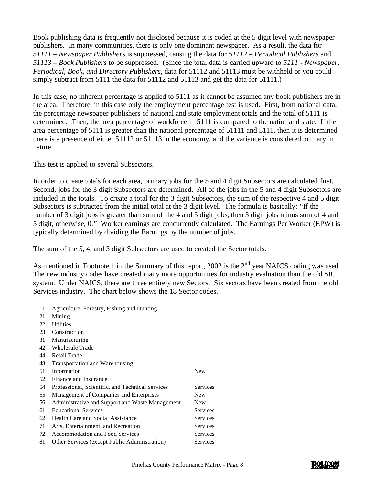Book publishing data is frequently not disclosed because it is coded at the 5 digit level with newspaper publishers. In many communities, there is only one dominant newspaper. As a result, the data for *51111 – Newspaper Publishers* is suppressed, causing the data for *51112 – Periodical Publishers* and *51113 – Book Publishers* to be suppressed. (Since the total data is carried upward to *5111 - Newspaper, Periodical, Book, and Directory Publishers*, data for 51112 and 51113 must be withheld or you could simply subtract from 5111 the data for 51112 and 51113 and get the data for 51111.)

In this case, no inherent percentage is applied to 5111 as it cannot be assumed any book publishers are in the area. Therefore, in this case only the employment percentage test is used. First, from national data, the percentage newspaper publishers of national and state employment totals and the total of 5111 is determined. Then, the area percentage of workforce in 5111 is compared to the nation and state. If the area percentage of 5111 is greater than the national percentage of 51111 and 5111, then it is determined there is a presence of either 51112 or 51113 in the economy, and the variance is considered primary in nature.

This test is applied to several Subsectors.

In order to create totals for each area, primary jobs for the 5 and 4 digit Subsectors are calculated first. Second, jobs for the 3 digit Subsectors are determined. All of the jobs in the 5 and 4 digit Subsectors are included in the totals. To create a total for the 3 digit Subsectors, the sum of the respective 4 and 5 digit Subsectors is subtracted from the initial total at the 3 digit level. The formula is basically: "If the number of 3 digit jobs is greater than sum of the 4 and 5 digit jobs, then 3 digit jobs minus sum of 4 and 5 digit, otherwise, 0." Worker earnings are concurrently calculated. The Earnings Per Worker (EPW) is typically determined by dividing the Earnings by the number of jobs.

The sum of the 5, 4, and 3 digit Subsectors are used to created the Sector totals.

As mentioned in Footnote 1 in the Summary of this report, 2002 is the  $2<sup>nd</sup>$  year NAICS coding was used. The new industry codes have created many more opportunities for industry evaluation than the old SIC system. Under NAICS, there are three entirely new Sectors. Six sectors have been created from the old Services industry. The chart below shows the 18 Sector codes.

- 11 Agriculture, Forestry, Fishing and Hunting
- 21 Mining
- 22 Utilities
- 23 Construction
- 31 Manufacturing
- 42 Wholesale Trade
- 44 Retail Trade
- 48 Transportation and Warehousing
- 51 Information New
- 52 Finance and Insurance
- 54 Professional, Scientific, and Technical Services Services
- 55 Management of Companies and Enterprises New

|    | 56 Administrative and Support and Waste Management | <b>New</b> |
|----|----------------------------------------------------|------------|
|    | 61 Educational Services                            | Services   |
|    | 62 Health Care and Social Assistance               | Services   |
|    | 71 Arts, Entertainment, and Recreation             | Services   |
|    | 72 Accommodation and Food Services                 | Services   |
| 81 | Other Services (except Public Administration)      | Services   |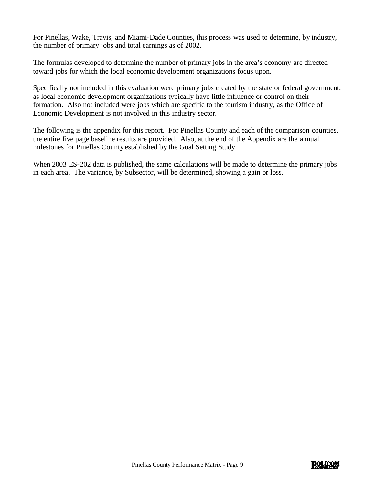For Pinellas, Wake, Travis, and Miami-Dade Counties, this process was used to determine, by industry, the number of primary jobs and total earnings as of 2002.

The formulas developed to determine the number of primary jobs in the area's economy are directed toward jobs for which the local economic development organizations focus upon.

Specifically not included in this evaluation were primary jobs created by the state or federal government, as local economic development organizations typically have little influence or control on their formation. Also not included were jobs which are specific to the tourism industry, as the Office of Economic Development is not involved in this industry sector.

The following is the appendix for this report. For Pinellas County and each of the comparison counties, the entire five page baseline results are provided. Also, at the end of the Appendix are the annual milestones for Pinellas County established by the Goal Setting Study.

When 2003 ES-202 data is published, the same calculations will be made to determine the primary jobs in each area. The variance, by Subsector, will be determined, showing a gain or loss.

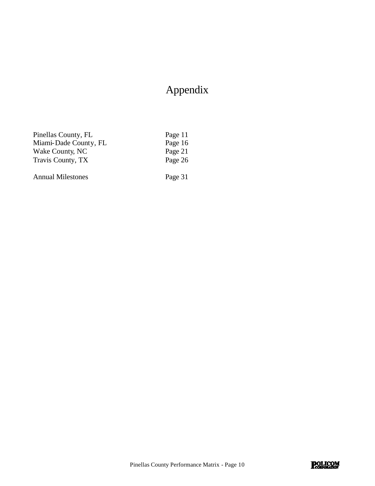# Appendix

| Pinellas County, FL      | Page 11 |
|--------------------------|---------|
| Miami-Dade County, FL    | Page 16 |
| Wake County, NC          | Page 21 |
| Travis County, TX        | Page 26 |
| <b>Annual Milestones</b> | Page 31 |

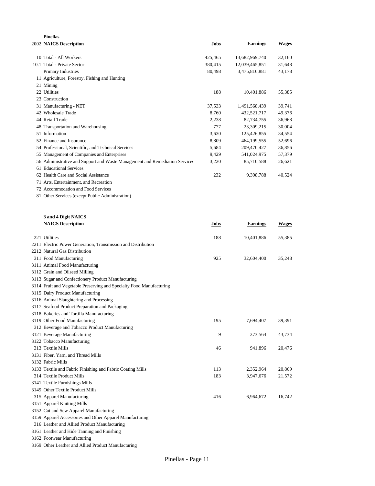| <b>Pinellas</b>                                                             |         |                 |              |
|-----------------------------------------------------------------------------|---------|-----------------|--------------|
| 2002 NAICS Description                                                      | Jobs    | <b>Earnings</b> | <b>Wages</b> |
| 10 Total - All Workers                                                      | 425,465 | 13,682,969,740  | 32,160       |
| 10.1 Total - Private Sector                                                 | 380,415 | 12,039,465,851  | 31,648       |
| Primary Industries                                                          | 80,498  | 3,475,816,881   | 43,178       |
| 11 Agriculture, Forestry, Fishing and Hunting                               |         |                 |              |
| 21 Mining                                                                   |         |                 |              |
| 22 Utilities                                                                | 188     | 10,401,886      | 55,385       |
| 23 Construction                                                             |         |                 |              |
| 31 Manufacturing - NET                                                      | 37,533  | 1,491,568,439   | 39,741       |
| 42 Wholesale Trade                                                          | 8.760   | 432,521,717     | 49,376       |
| 44 Retail Trade                                                             | 2,238   | 82,734,755      | 36,968       |
| 48 Transportation and Warehousing                                           | 777     | 23,309,215      | 30,004       |
| 51 Information                                                              | 3,630   | 125,426,855     | 34,554       |
| 52 Finance and Insurance                                                    | 8,809   | 464, 199, 555   | 52,696       |
| 54 Professional, Scientific, and Technical Services                         | 5,684   | 209,470,427     | 36,856       |
| 55 Management of Companies and Enterprises                                  | 9,429   | 541,024,975     | 57,379       |
| 56 Administrative and Support and Waste Management and Remediation Services | 3,220   | 85,710,588      | 26,621       |
| 61 Educational Services                                                     |         |                 |              |
| 62 Health Care and Social Assistance                                        | 232     | 9,398,788       | 40,524       |
| 71 Arts, Entertainment, and Recreation                                      |         |                 |              |
| 72 Accommodation and Food Services                                          |         |                 |              |
| 81 Other Services (except Public Administration)                            |         |                 |              |
|                                                                             |         |                 |              |
| 3 and 4 Digit NAICS                                                         |         |                 |              |
| <b>NAICS</b> Description                                                    | Jobs    | <b>Earnings</b> | <b>Wages</b> |
| 221 Utilities                                                               | 188     | 10,401,886      | 55,385       |
| $\mathbf{1}$                                                                |         |                 |              |

| 221 Utilities                                                        | 188 | 10,401,886 | 55,385 |
|----------------------------------------------------------------------|-----|------------|--------|
| 2211 Electric Power Generation, Transmission and Distribution        |     |            |        |
| 2212 Natural Gas Distribution                                        |     |            |        |
| 311 Food Manufacturing                                               | 925 | 32,604,400 | 35,248 |
| 3111 Animal Food Manufacturing                                       |     |            |        |
| 3112 Grain and Oilseed Milling                                       |     |            |        |
| 3113 Sugar and Confectionery Product Manufacturing                   |     |            |        |
| 3114 Fruit and Vegetable Preserving and Specialty Food Manufacturing |     |            |        |
| 3115 Dairy Product Manufacturing                                     |     |            |        |
| 3116 Animal Slaughtering and Processing                              |     |            |        |
| 3117 Seafood Product Preparation and Packaging                       |     |            |        |
| 3118 Bakeries and Tortilla Manufacturing                             |     |            |        |
| 3119 Other Food Manufacturing                                        | 195 | 7,694,407  | 39,391 |
| 312 Beverage and Tobacco Product Manufacturing                       |     |            |        |
| 3121 Beverage Manufacturing                                          | 9   | 373,564    | 43,734 |
| 3122 Tobacco Manufacturing                                           |     |            |        |
| 313 Textile Mills                                                    | 46  | 941,896    | 20,476 |
| 3131 Fiber, Yarn, and Thread Mills                                   |     |            |        |
| 3132 Fabric Mills                                                    |     |            |        |
| 3133 Textile and Fabric Finishing and Fabric Coating Mills           | 113 | 2,352,964  | 20,869 |
| 314 Textile Product Mills                                            | 183 | 3,947,676  | 21,572 |
| 3141 Textile Furnishings Mills                                       |     |            |        |
| 3149 Other Textile Product Mills                                     |     |            |        |
| 315 Apparel Manufacturing                                            | 416 | 6,964,672  | 16,742 |
| 3151 Apparel Knitting Mills                                          |     |            |        |
| 3152 Cut and Sew Apparel Manufacturing                               |     |            |        |
| 3159 Apparel Accessories and Other Apparel Manufacturing             |     |            |        |
| 316 Leather and Allied Product Manufacturing                         |     |            |        |
| 3161 Leather and Hide Tanning and Finishing                          |     |            |        |
| 3162 Footwear Manufacturing                                          |     |            |        |

Other Leather and Allied Product Manufacturing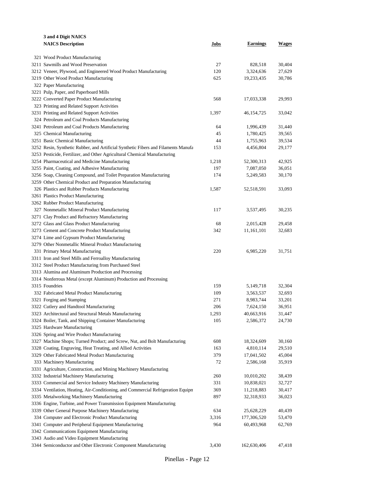| 3 and 4 Digit NAICS                                                                |       |                 |              |
|------------------------------------------------------------------------------------|-------|-----------------|--------------|
| <b>NAICS Description</b>                                                           | Jobs  | <b>Earnings</b> | <b>Wages</b> |
|                                                                                    |       |                 |              |
| 321 Wood Product Manufacturing                                                     |       |                 |              |
| 3211 Sawmills and Wood Preservation                                                | 27    | 828,518         | 30,404       |
| 3212 Veneer, Plywood, and Engineered Wood Product Manufacturing                    | 120   | 3,324,636       | 27,629       |
| 3219 Other Wood Product Manufacturing                                              | 625   | 19,233,435      | 30,786       |
| 322 Paper Manufacturing                                                            |       |                 |              |
| 3221 Pulp, Paper, and Paperboard Mills                                             |       |                 |              |
| 3222 Converted Paper Product Manufacturing                                         | 568   | 17,033,338      | 29,993       |
| 323 Printing and Related Support Activities                                        |       |                 |              |
| 3231 Printing and Related Support Activities                                       | 1,397 | 46, 154, 725    | 33,042       |
| 324 Petroleum and Coal Products Manufacturing                                      |       |                 |              |
| 3241 Petroleum and Coal Products Manufacturing                                     | 64    | 1,996,439       | 31,440       |
| 325 Chemical Manufacturing                                                         | 45    | 1,780,425       | 39,565       |
| 3251 Basic Chemical Manufacturing                                                  | 44    | 1,755,963       | 39,534       |
| 3252 Resin, Synthetic Rubber, and Artificial Synthetic Fibers and Filaments Manufa | 153   | 4,456,804       | 29,177       |
| 3253 Pesticide, Fertilizer, and Other Agricultural Chemical Manufacturing          |       |                 |              |
| 3254 Pharmaceutical and Medicine Manufacturing                                     | 1,218 | 52,300,313      | 42,925       |
| 3255 Paint, Coating, and Adhesive Manufacturing                                    | 197   | 7,087,050       | 36,051       |
| 3256 Soap, Cleaning Compound, and Toilet Preparation Manufacturing                 | 174   | 5,249,583       | 30,170       |
| 3259 Other Chemical Product and Preparation Manufacturing                          |       |                 |              |
| 326 Plastics and Rubber Products Manufacturing                                     | 1,587 | 52,518,591      | 33,093       |
| 3261 Plastics Product Manufacturing                                                |       |                 |              |
| 3262 Rubber Product Manufacturing                                                  |       |                 |              |
| 327 Nonmetallic Mineral Product Manufacturing                                      | 117   | 3,537,495       | 30,235       |
| 3271 Clay Product and Refractory Manufacturing                                     |       |                 |              |
| 3272 Glass and Glass Product Manufacturing                                         | 68    | 2,015,428       | 29,458       |
| 3273 Cement and Concrete Product Manufacturing                                     | 342   | 11,161,101      | 32,683       |
| 3274 Lime and Gypsum Product Manufacturing                                         |       |                 |              |
| 3279 Other Nonmetallic Mineral Product Manufacturing                               |       |                 |              |
| 331 Primary Metal Manufacturing                                                    | 220   | 6,985,220       | 31,751       |
| 3311 Iron and Steel Mills and Ferroalloy Manufacturing                             |       |                 |              |
| 3312 Steel Product Manufacturing from Purchased Steel                              |       |                 |              |
| 3313 Alumina and Aluminum Production and Processing                                |       |                 |              |
| 3314 Nonferrous Metal (except Aluminum) Production and Processing                  |       |                 |              |
| 3315 Foundries                                                                     | 159   | 5,149,718       | 32,304       |
| 332 Fabricated Metal Product Manufacturing                                         | 109   | 3,563,537       | 32,693       |
| 3321 Forging and Stamping                                                          | 271   | 8,983,744       | 33,201       |
| 3322 Cutlery and Handtool Manufacturing                                            | 206   | 7,624,150       | 36,951       |
| 3323 Architectural and Structural Metals Manufacturing                             | 1,293 | 40,663,916      | 31,447       |
| 3324 Boiler, Tank, and Shipping Container Manufacturing                            | 105   | 2,586,372       | 24,730       |
| 3325 Hardware Manufacturing                                                        |       |                 |              |
| 3326 Spring and Wire Product Manufacturing                                         |       |                 |              |
| 3327 Machine Shops; Turned Product; and Screw, Nut, and Bolt Manufacturing         | 608   | 18,324,609      | 30,160       |
| 3328 Coating, Engraving, Heat Treating, and Allied Activities                      | 163   | 4,810,114       | 29,510       |
| 3329 Other Fabricated Metal Product Manufacturing                                  | 379   | 17,041,502      | 45,004       |
| 333 Machinery Manufacturing                                                        | 72    | 2,586,168       | 35,919       |
| 3331 Agriculture, Construction, and Mining Machinery Manufacturing                 |       |                 |              |
| 3332 Industrial Machinery Manufacturing                                            | 260   | 10,010,202      | 38,439       |
| 3333 Commercial and Service Industry Machinery Manufacturing                       | 331   | 10,838,021      | 32,727       |
| 3334 Ventilation, Heating, Air-Conditioning, and Commercial Refrigeration Equipm   | 369   | 11,218,883      | 30,417       |
| 3335 Metalworking Machinery Manufacturing                                          | 897   | 32,318,933      | 36,023       |
| 3336 Engine, Turbine, and Power Transmission Equipment Manufacturing               |       |                 |              |
| 3339 Other General Purpose Machinery Manufacturing                                 | 634   | 25,628,229      | 40,439       |
| 334 Computer and Electronic Product Manufacturing                                  | 3,316 | 177,306,520     | 53,470       |
| 3341 Computer and Peripheral Equipment Manufacturing                               | 964   | 60,493,968      | 62,769       |
| 3342 Communications Equipment Manufacturing                                        |       |                 |              |
| 3343 Audio and Video Equipment Manufacturing                                       |       |                 |              |
| 3344 Semiconductor and Other Electronic Component Manufacturing                    | 3,430 | 162,630,406     | 47,418       |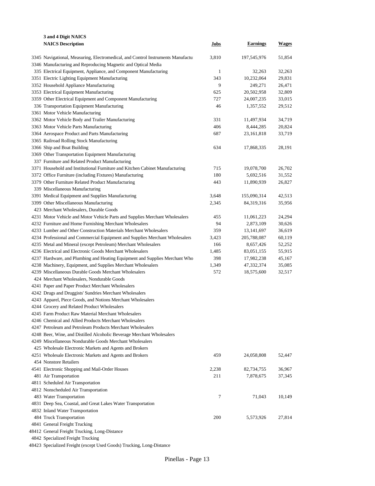| 3 and 4 Digit NAICS                                                                         |                |                 |                  |
|---------------------------------------------------------------------------------------------|----------------|-----------------|------------------|
| <b>NAICS Description</b>                                                                    | Jobs           | <b>Earnings</b> | Wages            |
|                                                                                             |                |                 |                  |
| 3345 Navigational, Measuring, Electromedical, and Control Instruments Manufactual           | 3,810          | 197,545,976     | 51,854           |
| 3346 Manufacturing and Reproducing Magnetic and Optical Media                               |                |                 |                  |
| 335 Electrical Equipment, Appliance, and Component Manufacturing                            | $\mathbf{1}$   | 32,263          | 32,263           |
| 3351 Electric Lighting Equipment Manufacturing                                              | 343            | 10,232,064      | 29,831           |
| 3352 Household Appliance Manufacturing                                                      | 9              | 249,271         | 26,471           |
| 3353 Electrical Equipment Manufacturing                                                     | 625            | 20,502,958      | 32,809           |
| 3359 Other Electrical Equipment and Component Manufacturing                                 | 727            | 24,007,235      | 33,015           |
| 336 Transportation Equipment Manufacturing                                                  | 46             | 1,357,552       | 29,512           |
| 3361 Motor Vehicle Manufacturing                                                            |                |                 |                  |
| 3362 Motor Vehicle Body and Trailer Manufacturing                                           | 331            | 11,497,934      | 34,719           |
| 3363 Motor Vehicle Parts Manufacturing                                                      | 406            | 8,444,285       | 20,824           |
| 3364 Aerospace Product and Parts Manufacturing                                              | 687            | 23, 161, 818    | 33,719           |
| 3365 Railroad Rolling Stock Manufacturing                                                   |                |                 |                  |
| 3366 Ship and Boat Building                                                                 | 634            | 17,868,335      | 28,191           |
| 3369 Other Transportation Equipment Manufacturing                                           |                |                 |                  |
| 337 Furniture and Related Product Manufacturing                                             |                |                 |                  |
| 3371 Household and Institutional Furniture and Kitchen Cabinet Manufacturing                | 715<br>180     | 19,078,700      | 26,702           |
| 3372 Office Furniture (including Fixtures) Manufacturing                                    |                | 5,692,516       | 31,552           |
| 3379 Other Furniture Related Product Manufacturing                                          | 443            | 11,890,939      | 26,827           |
| 339 Miscellaneous Manufacturing                                                             |                |                 |                  |
| 3391 Medical Equipment and Supplies Manufacturing<br>3399 Other Miscellaneous Manufacturing | 3,648<br>2,345 | 155,090,314     | 42,513<br>35,956 |
| 423 Merchant Wholesalers, Durable Goods                                                     |                | 84,319,316      |                  |
| 4231 Motor Vehicle and Motor Vehicle Parts and Supplies Merchant Wholesalers                | 455            | 11,061,223      | 24,294           |
| 4232 Furniture and Home Furnishing Merchant Wholesalers                                     | 94             | 2,873,109       | 30,626           |
| 4233 Lumber and Other Construction Materials Merchant Wholesalers                           | 359            | 13, 141, 697    | 36,619           |
| 4234 Professional and Commercial Equipment and Supplies Merchant Wholesalers                | 3,423          | 205,788,087     | 60,119           |
| 4235 Metal and Mineral (except Petroleum) Merchant Wholesalers                              | 166            | 8,657,426       | 52,252           |
| 4236 Electrical and Electronic Goods Merchant Wholesalers                                   | 1,485          | 83,051,155      | 55,915           |
| 4237 Hardware, and Plumbing and Heating Equipment and Supplies Merchant Who                 | 398            | 17,982,238      | 45,167           |
| 4238 Machinery, Equipment, and Supplies Merchant Wholesalers                                | 1,349          | 47,332,374      | 35,085           |
| 4239 Miscellaneous Durable Goods Merchant Wholesalers                                       | 572            | 18,575,600      | 32,517           |
| 424 Merchant Wholesalers, Nondurable Goods                                                  |                |                 |                  |
| 4241 Paper and Paper Product Merchant Wholesalers                                           |                |                 |                  |
| 4242 Drugs and Druggists' Sundries Merchant Wholesalers                                     |                |                 |                  |
| 4243 Apparel, Piece Goods, and Notions Merchant Wholesalers                                 |                |                 |                  |
| 4244 Grocery and Related Product Wholesalers                                                |                |                 |                  |
| 4245 Farm Product Raw Material Merchant Wholesalers                                         |                |                 |                  |
| 4246 Chemical and Allied Products Merchant Wholesalers                                      |                |                 |                  |
| 4247 Petroleum and Petroleum Products Merchant Wholesalers                                  |                |                 |                  |
| 4248 Beer, Wine, and Distilled Alcoholic Beverage Merchant Wholesalers                      |                |                 |                  |
| 4249 Miscellaneous Nondurable Goods Merchant Wholesalers                                    |                |                 |                  |
| 425 Wholesale Electronic Markets and Agents and Brokers                                     |                |                 |                  |
| 4251 Wholesale Electronic Markets and Agents and Brokers                                    | 459            | 24,058,808      | 52,447           |
| 454 Nonstore Retailers                                                                      |                |                 |                  |
| 4541 Electronic Shopping and Mail-Order Houses                                              | 2,238          | 82,734,755      | 36,967           |
| 481 Air Transportation                                                                      | 211            | 7,878,675       | 37,345           |
| 4811 Scheduled Air Transportation                                                           |                |                 |                  |
| 4812 Nonscheduled Air Transportation                                                        |                |                 |                  |
| 483 Water Transportation                                                                    | 7              | 71,043          | 10,149           |
| 4831 Deep Sea, Coastal, and Great Lakes Water Transportation                                |                |                 |                  |
| 4832 Inland Water Transportation                                                            |                |                 |                  |
| 484 Truck Transportation                                                                    | 200            | 5,573,926       | 27,814           |
| 4841 General Freight Trucking                                                               |                |                 |                  |
| 48412 General Freight Trucking, Long-Distance                                               |                |                 |                  |
| 4842 Specialized Freight Trucking                                                           |                |                 |                  |

Specialized Freight (except Used Goods) Trucking, Long-Distance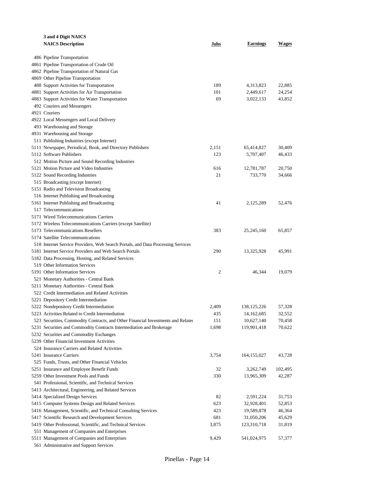| 3 and 4 Digit NAICS                                                                                |            |                             |                  |
|----------------------------------------------------------------------------------------------------|------------|-----------------------------|------------------|
| <b>NAICS Description</b>                                                                           | Jobs       | <b>Earnings</b>             | Wages            |
|                                                                                                    |            |                             |                  |
| 486 Pipeline Transportation                                                                        |            |                             |                  |
| 4861 Pipeline Transportation of Crude Oil                                                          |            |                             |                  |
| 4862 Pipeline Transportation of Natural Gas                                                        |            |                             |                  |
| 4869 Other Pipeline Transportation                                                                 |            |                             |                  |
| 488 Support Activities for Transportation                                                          | 189        | 4,313,823                   | 22,885           |
| 4881 Support Activities for Air Transportation<br>4883 Support Activities for Water Transportation | 101<br>69  | 2,449,617<br>3,022,133      | 24,254<br>43,852 |
| 492 Couriers and Messengers                                                                        |            |                             |                  |
| 4921 Couriers                                                                                      |            |                             |                  |
| 4922 Local Messengers and Local Delivery                                                           |            |                             |                  |
| 493 Warehousing and Storage                                                                        |            |                             |                  |
| 4931 Warehousing and Storage                                                                       |            |                             |                  |
| 511 Publishing Industries (except Internet)                                                        |            |                             |                  |
| 5111 Newspaper, Periodical, Book, and Directory Publishers                                         | 2,151      | 65,414,827                  | 30,409           |
| 5112 Software Publishers                                                                           | 123        | 5,707,407                   | 46,433           |
| 512 Motion Picture and Sound Recording Industries                                                  |            |                             |                  |
| 5121 Motion Picture and Video Industries                                                           | 616        | 12,781,787                  | 20,750           |
| 5122 Sound Recording Industries                                                                    | 21         | 733,770                     | 34,666           |
| 515 Broadcasting (except Internet)                                                                 |            |                             |                  |
| 5151 Radio and Television Broadcasting                                                             |            |                             |                  |
| 516 Internet Publishing and Broadcasting                                                           |            |                             |                  |
| 5161 Internet Publishing and Broadcasting                                                          | 41         | 2,125,289                   | 52,476           |
| 517 Telecommunications                                                                             |            |                             |                  |
| 5171 Wired Telecommunications Carriers                                                             |            |                             |                  |
| 5172 Wireless Telecommunications Carriers (except Satellite)                                       |            |                             |                  |
| 5173 Telecommunications Resellers                                                                  | 383        | 25, 245, 160                | 65,857           |
| 5174 Satellite Telecommunications                                                                  |            |                             |                  |
| 518 Internet Service Providers, Web Search Portals, and Data Processing Services                   |            |                             |                  |
| 5181 Internet Service Providers and Web Search Portals                                             | 290        | 13,325,928                  | 45,991           |
| 5182 Data Processing, Hosting, and Related Services                                                |            |                             |                  |
| 519 Other Information Services                                                                     |            |                             |                  |
| 5191 Other Information Services                                                                    | 2          | 46,344                      | 19,079           |
| 521 Monetary Authorities - Central Bank                                                            |            |                             |                  |
| 5211 Monetary Authorities - Central Bank                                                           |            |                             |                  |
| 522 Credit Intermediation and Related Activities                                                   |            |                             |                  |
| 5221 Depository Credit Intermediation                                                              |            |                             |                  |
| 5222 Nondepository Credit Intermediation<br>5223 Activities Related to Credit Intermediation       | 2,409      | 138, 125, 226<br>14,162,685 | 57,328<br>32,552 |
| 523 Securities, Commodity Contracts, and Other Financial Investments and Related                   | 435<br>151 | 10,627,140                  | 70,458           |
| 5231 Securities and Commodity Contracts Intermediation and Brokerage                               | 1,698      | 119,901,418                 | 70,622           |
| 5232 Securities and Commodity Exchanges                                                            |            |                             |                  |
| 5239 Other Financial Investment Activities                                                         |            |                             |                  |
| 524 Insurance Carriers and Related Activities                                                      |            |                             |                  |
| 5241 Insurance Carriers                                                                            | 3,754      | 164, 155, 027               | 43,728           |
| 525 Funds, Trusts, and Other Financial Vehicles                                                    |            |                             |                  |
| 5251 Insurance and Employee Benefit Funds                                                          | 32         | 3,262,749                   | 102,495          |
| 5259 Other Investment Pools and Funds                                                              | 330        | 13,965,309                  | 42,287           |
| 541 Professional, Scientific, and Technical Services                                               |            |                             |                  |
| 5413 Architectural, Engineering, and Related Services                                              |            |                             |                  |
| 5414 Specialized Design Services                                                                   | 82         | 2,591,224                   | 31,753           |
| 5415 Computer Systems Design and Related Services                                                  | 623        | 32,928,401                  | 52,853           |
| 5416 Management, Scientific, and Technical Consulting Services                                     | 423        | 19,589,878                  | 46,364           |
| 5417 Scientific Research and Development Services                                                  | 681        | 31,050,206                  | 45,629           |
| 5419 Other Professional, Scientific, and Technical Services                                        | 3,875      | 123,310,718                 | 31,819           |
| 551 Management of Companies and Enterprises                                                        |            |                             |                  |
| 5511 Management of Companies and Enterprises                                                       | 9,429      | 541,024,975                 | 57,377           |
| 561 Administrative and Support Services                                                            |            |                             |                  |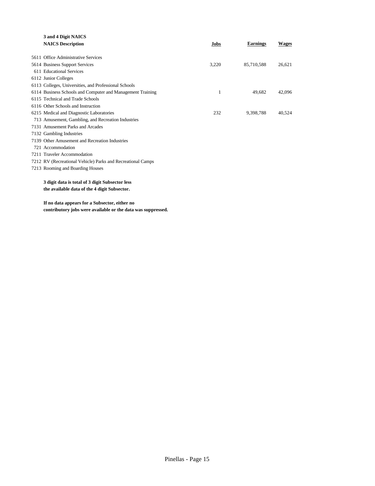| 3 and 4 Digit NAICS                                         |       |                 |              |
|-------------------------------------------------------------|-------|-----------------|--------------|
| <b>NAICS Description</b>                                    | Jobs  | <b>Earnings</b> | <b>Wages</b> |
|                                                             |       |                 |              |
| 5611 Office Administrative Services                         |       |                 |              |
| 5614 Business Support Services                              | 3,220 | 85,710,588      | 26,621       |
| 611 Educational Services                                    |       |                 |              |
| 6112 Junior Colleges                                        |       |                 |              |
| 6113 Colleges, Universities, and Professional Schools       |       |                 |              |
| 6114 Business Schools and Computer and Management Training  | 1     | 49,682          | 42,096       |
| 6115 Technical and Trade Schools                            |       |                 |              |
| 6116 Other Schools and Instruction                          |       |                 |              |
| 6215 Medical and Diagnostic Laboratories                    | 232   | 9,398,788       | 40,524       |
| 713 Amusement, Gambling, and Recreation Industries          |       |                 |              |
| 7131 Amusement Parks and Arcades                            |       |                 |              |
| 7132 Gambling Industries                                    |       |                 |              |
| 7139 Other Amusement and Recreation Industries              |       |                 |              |
| 721 Accommodation                                           |       |                 |              |
| 7211 Traveler Accommodation                                 |       |                 |              |
| 7212 RV (Recreational Vehicle) Parks and Recreational Camps |       |                 |              |
| 7213 Rooming and Boarding Houses                            |       |                 |              |
| 3 digit data is total of 3 digit Subsector less             |       |                 |              |
| the available data of the 4 digit Subsector.                |       |                 |              |
|                                                             |       |                 |              |
|                                                             |       |                 |              |

**If no data appears for a Subsector, either no contributory jobs were available or the data was suppressed.**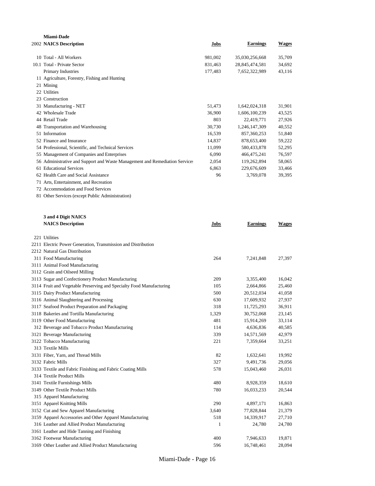| Miami-Dade                                                                  |              |                 |              |
|-----------------------------------------------------------------------------|--------------|-----------------|--------------|
| 2002 NAICS Description                                                      | Jobs         | <b>Earnings</b> | <b>Wages</b> |
|                                                                             |              |                 |              |
| 10 Total - All Workers                                                      | 981,002      | 35,030,256,668  | 35,709       |
| 10.1 Total - Private Sector                                                 | 831,463      | 28,845,474,581  | 34,692       |
| Primary Industries                                                          | 177,483      | 7,652,322,989   | 43,116       |
| 11 Agriculture, Forestry, Fishing and Hunting                               |              |                 |              |
| 21 Mining                                                                   |              |                 |              |
| 22 Utilities                                                                |              |                 |              |
| 23 Construction                                                             |              |                 |              |
| 31 Manufacturing - NET                                                      | 51,473       | 1,642,024,318   | 31,901       |
| 42 Wholesale Trade                                                          | 36,900       | 1,606,100,239   | 43,525       |
| 44 Retail Trade                                                             | 803          | 22,419,771      | 27,926       |
| 48 Transportation and Warehousing                                           | 30,730       | 1,246,147,309   | 40,552       |
| 51 Information                                                              | 16,539       | 857,360,253     | 51,840       |
| 52 Finance and Insurance                                                    | 14,837       | 878,653,400     | 59,222       |
| 54 Professional, Scientific, and Technical Services                         | 11,099       | 580,433,878     | 52,295       |
| 55 Management of Companies and Enterprises                                  | 6,090        | 466, 475, 241   | 76,597       |
| 56 Administrative and Support and Waste Management and Remediation Services | 2,054        | 119,262,894     | 58,065       |
| 61 Educational Services<br>62 Health Care and Social Assistance             | 6,863        | 229,676,609     | 33,466       |
|                                                                             | 96           | 3,769,078       | 39,395       |
| 71 Arts, Entertainment, and Recreation                                      |              |                 |              |
| 72 Accommodation and Food Services                                          |              |                 |              |
| 81 Other Services (except Public Administration)                            |              |                 |              |
| 3 and 4 Digit NAICS                                                         |              |                 |              |
| <b>NAICS Description</b>                                                    | Jobs         | Earnings        | <b>Wages</b> |
|                                                                             |              |                 |              |
| 221 Utilities                                                               |              |                 |              |
| 2211 Electric Power Generation, Transmission and Distribution               |              |                 |              |
| 2212 Natural Gas Distribution<br>311 Food Manufacturing                     |              |                 |              |
| 3111 Animal Food Manufacturing                                              | 264          | 7,241,848       | 27,397       |
| 3112 Grain and Oilseed Milling                                              |              |                 |              |
| 3113 Sugar and Confectionery Product Manufacturing                          | 209          | 3,355,400       | 16,042       |
| 3114 Fruit and Vegetable Preserving and Specialty Food Manufacturing        | 105          | 2,664,866       | 25,460       |
| 3115 Dairy Product Manufacturing                                            | 500          | 20,512,034      | 41,058       |
| 3116 Animal Slaughtering and Processing                                     | 630          | 17,609,932      | 27,937       |
| 3117 Seafood Product Preparation and Packaging                              | 318          | 11,725,293      | 36,911       |
| 3118 Bakeries and Tortilla Manufacturing                                    | 1,329        | 30,752,068      | 23,145       |
| 3119 Other Food Manufacturing                                               | 481          | 15,914,269      | 33,114       |
| 312 Beverage and Tobacco Product Manufacturing                              | 114          | 4,636,836       | 40,585       |
| 3121 Beverage Manufacturing                                                 | 339          | 14,571,569      | 42,979       |
| 3122 Tobacco Manufacturing                                                  | 221          | 7,359,664       | 33,251       |
| 313 Textile Mills                                                           |              |                 |              |
| 3131 Fiber, Yarn, and Thread Mills                                          | 82           | 1,632,641       | 19,992       |
| 3132 Fabric Mills                                                           | 327          | 9,491,736       | 29,056       |
| 3133 Textile and Fabric Finishing and Fabric Coating Mills                  | 578          | 15,043,460      | 26,031       |
| 314 Textile Product Mills                                                   |              |                 |              |
| 3141 Textile Furnishings Mills                                              | 480          | 8,928,359       | 18,610       |
| 3149 Other Textile Product Mills                                            | 780          | 16,033,233      | 20,544       |
| 315 Apparel Manufacturing                                                   |              |                 |              |
| 3151 Apparel Knitting Mills                                                 | 290          | 4,897,171       | 16,863       |
| 3152 Cut and Sew Apparel Manufacturing                                      | 3,640        | 77,828,844      | 21,379       |
| 3159 Apparel Accessories and Other Apparel Manufacturing                    | 518          | 14,339,917      | 27,710       |
| 316 Leather and Allied Product Manufacturing                                | $\mathbf{1}$ | 24,780          | 24,780       |
| 3161 Leather and Hide Tanning and Finishing                                 |              |                 |              |
| 3162 Footwear Manufacturing                                                 | 400          | 7,946,633       | 19,871       |
| 3169 Other Leather and Allied Product Manufacturing                         | 596          | 16,748,461      | 28,094       |
|                                                                             |              |                 |              |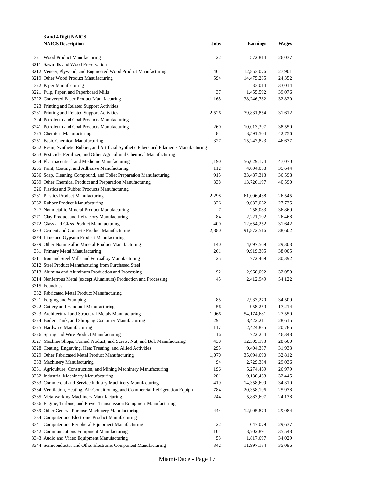| 3 and 4 Digit NAICS                                                                             |              |                 |              |
|-------------------------------------------------------------------------------------------------|--------------|-----------------|--------------|
| <b>NAICS Description</b>                                                                        | Jobs         | <b>Earnings</b> | <b>Wages</b> |
|                                                                                                 |              |                 |              |
| 321 Wood Product Manufacturing                                                                  | 22           | 572,814         | 26,037       |
| 3211 Sawmills and Wood Preservation                                                             |              |                 |              |
| 3212 Veneer, Plywood, and Engineered Wood Product Manufacturing                                 | 461          | 12,853,076      | 27,901       |
| 3219 Other Wood Product Manufacturing                                                           | 594          | 14,475,285      | 24,352       |
| 322 Paper Manufacturing                                                                         | $\mathbf{1}$ | 33,014          | 33,014       |
| 3221 Pulp, Paper, and Paperboard Mills                                                          | 37           | 1,455,592       | 39,076       |
| 3222 Converted Paper Product Manufacturing                                                      | 1,165        | 38,246,782      | 32,820       |
| 323 Printing and Related Support Activities                                                     |              |                 |              |
| 3231 Printing and Related Support Activities                                                    | 2,526        | 79,831,854      | 31,612       |
| 324 Petroleum and Coal Products Manufacturing<br>3241 Petroleum and Coal Products Manufacturing | 260          | 10,013,397      | 38,550       |
| 325 Chemical Manufacturing                                                                      | 84           | 3,591,504       | 42,756       |
| 3251 Basic Chemical Manufacturing                                                               | 327          | 15,247,823      | 46,677       |
| 3252 Resin, Synthetic Rubber, and Artificial Synthetic Fibers and Filaments Manufacturing       |              |                 |              |
| 3253 Pesticide, Fertilizer, and Other Agricultural Chemical Manufacturing                       |              |                 |              |
| 3254 Pharmaceutical and Medicine Manufacturing                                                  | 1,190        | 56,029,174      | 47,070       |
| 3255 Paint, Coating, and Adhesive Manufacturing                                                 | 112          | 4,004,058       | 35,644       |
| 3256 Soap, Cleaning Compound, and Toilet Preparation Manufacturing                              | 915          | 33,487,313      | 36,598       |
| 3259 Other Chemical Product and Preparation Manufacturing                                       | 338          | 13,726,197      | 40,590       |
| 326 Plastics and Rubber Products Manufacturing                                                  |              |                 |              |
| 3261 Plastics Product Manufacturing                                                             | 2,298        | 61,006,438      | 26,545       |
| 3262 Rubber Product Manufacturing                                                               | 326          | 9,037,062       | 27,735       |
| 327 Nonmetallic Mineral Product Manufacturing                                                   | 7            | 258,083         | 36,869       |
| 3271 Clay Product and Refractory Manufacturing                                                  | 84           | 2,221,102       | 26,468       |
| 3272 Glass and Glass Product Manufacturing                                                      | 400          | 12,654,252      | 31,642       |
| 3273 Cement and Concrete Product Manufacturing                                                  | 2,380        | 91,872,516      | 38,602       |
| 3274 Lime and Gypsum Product Manufacturing                                                      |              |                 |              |
| 3279 Other Nonmetallic Mineral Product Manufacturing                                            | 140          | 4,097,569       | 29,303       |
| 331 Primary Metal Manufacturing                                                                 | 261          | 9,919,305       | 38,005       |
| 3311 Iron and Steel Mills and Ferroalloy Manufacturing                                          | 25           | 772,469         | 30,392       |
| 3312 Steel Product Manufacturing from Purchased Steel                                           |              |                 |              |
| 3313 Alumina and Aluminum Production and Processing                                             | 92           | 2,960,092       | 32,059       |
| 3314 Nonferrous Metal (except Aluminum) Production and Processing                               | 45           | 2,412,949       | 54,122       |
| 3315 Foundries                                                                                  |              |                 |              |
| 332 Fabricated Metal Product Manufacturing                                                      |              |                 |              |
| 3321 Forging and Stamping                                                                       | 85           | 2,933,270       | 34,509       |
| 3322 Cutlery and Handtool Manufacturing                                                         | 56           | 958,259         | 17,214       |
| 3323 Architectural and Structural Metals Manufacturing                                          | 1,966        | 54,174,681      | 27,550       |
| 3324 Boiler, Tank, and Shipping Container Manufacturing                                         | 294          | 8,422,211       | 28,615       |
| 3325 Hardware Manufacturing                                                                     | 117          | 2,424,885       | 20,785       |
| 3326 Spring and Wire Product Manufacturing                                                      | 16           | 722,254         | 46,348       |
| 3327 Machine Shops; Turned Product; and Screw, Nut, and Bolt Manufacturing                      | 430          | 12,305,193      | 28,600       |
| 3328 Coating, Engraving, Heat Treating, and Allied Activities                                   | 295          | 9,404,387       | 31,933       |
| 3329 Other Fabricated Metal Product Manufacturing                                               | 1,070        | 35,094,690      | 32,812       |
| 333 Machinery Manufacturing                                                                     | 94           | 2,729,384       | 29,036       |
| 3331 Agriculture, Construction, and Mining Machinery Manufacturing                              | 196          | 5,274,469       | 26,979       |
| 3332 Industrial Machinery Manufacturing                                                         | 281          | 9,130,433       | 32,445       |
| 3333 Commercial and Service Industry Machinery Manufacturing                                    | 419          | 14,358,609      | 34,310       |
| 3334 Ventilation, Heating, Air-Conditioning, and Commercial Refrigeration Equipm                | 784          | 20,358,196      | 25,978       |
| 3335 Metalworking Machinery Manufacturing                                                       | 244          | 5,883,607       | 24,138       |
| 3336 Engine, Turbine, and Power Transmission Equipment Manufacturing                            |              |                 |              |
| 3339 Other General Purpose Machinery Manufacturing                                              | 444          | 12,905,879      | 29,084       |
| 334 Computer and Electronic Product Manufacturing                                               |              |                 |              |
| 3341 Computer and Peripheral Equipment Manufacturing                                            | 22           | 647,079         | 29,637       |
| 3342 Communications Equipment Manufacturing                                                     | 104          | 3,702,891       | 35,548       |
| 3343 Audio and Video Equipment Manufacturing                                                    | 53           | 1,817,697       | 34,029       |
| 3344 Semiconductor and Other Electronic Component Manufacturing                                 | 342          | 11,997,134      | 35,096       |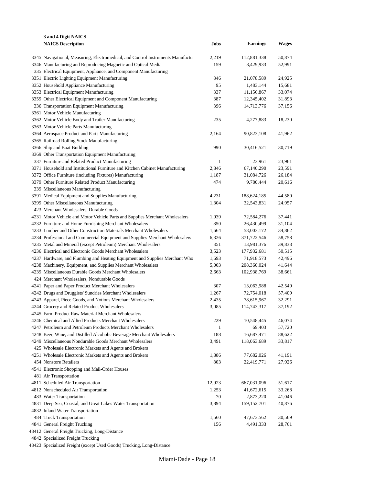| 3 and 4 Digit NAICS                                                              |        |                 |              |
|----------------------------------------------------------------------------------|--------|-----------------|--------------|
| <b>NAICS Description</b>                                                         | Jobs   | <b>Earnings</b> | <b>Wages</b> |
|                                                                                  |        |                 |              |
| 3345 Navigational, Measuring, Electromedical, and Control Instruments Manufactur | 2,219  | 112,881,338     | 50,874       |
| 3346 Manufacturing and Reproducing Magnetic and Optical Media                    | 159    | 8,429,933       | 52,991       |
| 335 Electrical Equipment, Appliance, and Component Manufacturing                 |        |                 |              |
| 3351 Electric Lighting Equipment Manufacturing                                   | 846    | 21,078,589      | 24,925       |
| 3352 Household Appliance Manufacturing                                           | 95     | 1,483,144       | 15,681       |
| 3353 Electrical Equipment Manufacturing                                          | 337    | 11,156,867      | 33,074       |
| 3359 Other Electrical Equipment and Component Manufacturing                      | 387    | 12,345,402      | 31,893       |
| 336 Transportation Equipment Manufacturing                                       | 396    | 14,713,776      | 37,156       |
| 3361 Motor Vehicle Manufacturing                                                 |        |                 |              |
| 3362 Motor Vehicle Body and Trailer Manufacturing                                | 235    | 4,277,883       | 18,230       |
| 3363 Motor Vehicle Parts Manufacturing                                           |        |                 |              |
| 3364 Aerospace Product and Parts Manufacturing                                   | 2,164  | 90,823,108      | 41,962       |
| 3365 Railroad Rolling Stock Manufacturing                                        |        |                 |              |
| 3366 Ship and Boat Building                                                      | 990    | 30,416,521      | 30,719       |
| 3369 Other Transportation Equipment Manufacturing                                |        |                 |              |
| 337 Furniture and Related Product Manufacturing                                  | 1      | 23,961          | 23,961       |
| 3371 Household and Institutional Furniture and Kitchen Cabinet Manufacturing     | 2,846  | 67,140,290      | 23,591       |
| 3372 Office Furniture (including Fixtures) Manufacturing                         | 1,187  | 31,084,726      | 26,184       |
| 3379 Other Furniture Related Product Manufacturing                               | 474    | 9,780,444       | 20,616       |
| 339 Miscellaneous Manufacturing                                                  |        |                 |              |
| 3391 Medical Equipment and Supplies Manufacturing                                | 4,231  | 188,624,185     | 44,580       |
| 3399 Other Miscellaneous Manufacturing                                           | 1,304  | 32,543,831      | 24,957       |
| 423 Merchant Wholesalers, Durable Goods                                          |        |                 |              |
| 4231 Motor Vehicle and Motor Vehicle Parts and Supplies Merchant Wholesalers     | 1,939  | 72,584,276      | 37,441       |
| 4232 Furniture and Home Furnishing Merchant Wholesalers                          | 850    | 26,430,499      | 31,104       |
| 4233 Lumber and Other Construction Materials Merchant Wholesalers                | 1,664  | 58,003,172      | 34,862       |
| 4234 Professional and Commercial Equipment and Supplies Merchant Wholesalers     | 6,326  | 371,722,546     | 58,758       |
| 4235 Metal and Mineral (except Petroleum) Merchant Wholesalers                   | 351    | 13,981,376      | 39,833       |
| 4236 Electrical and Electronic Goods Merchant Wholesalers                        | 3,523  | 177,932,681     | 50,515       |
| 4237 Hardware, and Plumbing and Heating Equipment and Supplies Merchant Who      | 1,693  | 71,918,573      | 42,496       |
| 4238 Machinery, Equipment, and Supplies Merchant Wholesalers                     | 5,003  | 208,360,024     | 41,644       |
| 4239 Miscellaneous Durable Goods Merchant Wholesalers                            | 2,663  | 102,938,769     | 38,661       |
| 424 Merchant Wholesalers, Nondurable Goods                                       |        |                 |              |
| 4241 Paper and Paper Product Merchant Wholesalers                                | 307    | 13,063,988      | 42,549       |
| 4242 Drugs and Druggists' Sundries Merchant Wholesalers                          | 1,267  | 72,754,018      | 57,409       |
| 4243 Apparel, Piece Goods, and Notions Merchant Wholesalers                      | 2,435  | 78,615,967      | 32,291       |
| 4244 Grocery and Related Product Wholesalers                                     | 3,085  | 114,743,317     | 37,192       |
| 4245 Farm Product Raw Material Merchant Wholesalers                              |        |                 |              |
| 4246 Chemical and Allied Products Merchant Wholesalers                           | 229    | 10,548,445      | 46,074       |
| 4247 Petroleum and Petroleum Products Merchant Wholesalers                       | 1      | 69,403          | 57,720       |
| 4248 Beer, Wine, and Distilled Alcoholic Beverage Merchant Wholesalers           | 188    | 16,687,471      | 88,622       |
| 4249 Miscellaneous Nondurable Goods Merchant Wholesalers                         | 3,491  | 118,063,689     | 33,817       |
| 425 Wholesale Electronic Markets and Agents and Brokers                          |        |                 |              |
| 4251 Wholesale Electronic Markets and Agents and Brokers                         | 1,886  | 77,682,026      | 41,191       |
| 454 Nonstore Retailers                                                           | 803    | 22,419,771      | 27,926       |
| 4541 Electronic Shopping and Mail-Order Houses                                   |        |                 |              |
| 481 Air Transportation                                                           |        |                 |              |
| 4811 Scheduled Air Transportation                                                | 12,923 | 667,031,096     | 51,617       |
| 4812 Nonscheduled Air Transportation                                             | 1,253  | 41,672,615      | 33,268       |
| 483 Water Transportation                                                         | 70     | 2,873,220       | 41,046       |
| 4831 Deep Sea, Coastal, and Great Lakes Water Transportation                     | 3,894  | 159, 152, 701   | 40,876       |
| 4832 Inland Water Transportation                                                 |        |                 |              |
| 484 Truck Transportation                                                         | 1,560  | 47,673,562      | 30,569       |
| 4841 General Freight Trucking                                                    | 156    | 4,491,333       | 28,761       |
| 48412 General Freight Trucking, Long-Distance                                    |        |                 |              |
| 4842 Specialized Freight Trucking                                                |        |                 |              |

Specialized Freight (except Used Goods) Trucking, Long-Distance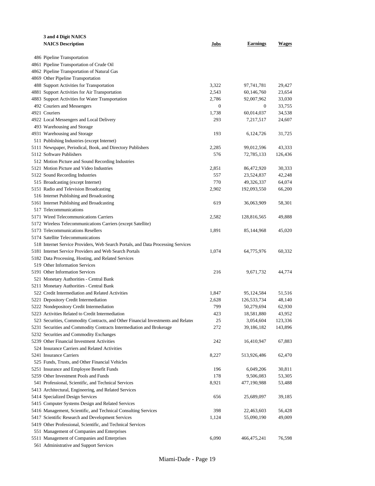| 3 and 4 Digit NAICS                                                              |                  |                  |                  |
|----------------------------------------------------------------------------------|------------------|------------------|------------------|
| <b>NAICS Description</b>                                                         | Jobs             | Earnings         | Wages            |
|                                                                                  |                  |                  |                  |
| 486 Pipeline Transportation                                                      |                  |                  |                  |
| 4861 Pipeline Transportation of Crude Oil                                        |                  |                  |                  |
| 4862 Pipeline Transportation of Natural Gas                                      |                  |                  |                  |
| 4869 Other Pipeline Transportation                                               |                  |                  |                  |
| 488 Support Activities for Transportation                                        | 3,322            | 97,741,781       | 29,427           |
| 4881 Support Activities for Air Transportation                                   | 2,543            | 60,146,760       | 23,654           |
| 4883 Support Activities for Water Transportation                                 | 2,786            | 92,007,962       | 33,030<br>33,755 |
| 492 Couriers and Messengers                                                      | $\boldsymbol{0}$ | $\boldsymbol{0}$ |                  |
| 4921 Couriers<br>4922 Local Messengers and Local Delivery                        | 1,738<br>293     | 60,014,037       | 34,538<br>24,607 |
| 493 Warehousing and Storage                                                      |                  | 7,217,517        |                  |
| 4931 Warehousing and Storage                                                     | 193              | 6,124,726        | 31,725           |
| 511 Publishing Industries (except Internet)                                      |                  |                  |                  |
| 5111 Newspaper, Periodical, Book, and Directory Publishers                       | 2,285            | 99,012,596       | 43,333           |
| 5112 Software Publishers                                                         | 576              | 72,785,133       | 126,436          |
| 512 Motion Picture and Sound Recording Industries                                |                  |                  |                  |
| 5121 Motion Picture and Video Industries                                         | 2,851            | 86,472,920       | 30,333           |
| 5122 Sound Recording Industries                                                  | 557              | 23,524,837       | 42,248           |
| 515 Broadcasting (except Internet)                                               | 770              | 49,326,337       | 64,074           |
| 5151 Radio and Television Broadcasting                                           | 2,902            | 192,093,550      | 66,200           |
| 516 Internet Publishing and Broadcasting                                         |                  |                  |                  |
| 5161 Internet Publishing and Broadcasting                                        | 619              | 36,063,909       | 58,301           |
| 517 Telecommunications                                                           |                  |                  |                  |
| 5171 Wired Telecommunications Carriers                                           | 2,582            | 128,816,565      | 49,888           |
| 5172 Wireless Telecommunications Carriers (except Satellite)                     |                  |                  |                  |
| 5173 Telecommunications Resellers                                                | 1,891            | 85,144,968       | 45,020           |
| 5174 Satellite Telecommunications                                                |                  |                  |                  |
| 518 Internet Service Providers, Web Search Portals, and Data Processing Services |                  |                  |                  |
| 5181 Internet Service Providers and Web Search Portals                           | 1,074            | 64,775,976       | 60,332           |
| 5182 Data Processing, Hosting, and Related Services                              |                  |                  |                  |
| 519 Other Information Services                                                   |                  |                  |                  |
| 5191 Other Information Services                                                  | 216              | 9,671,732        | 44,774           |
| 521 Monetary Authorities - Central Bank                                          |                  |                  |                  |
| 5211 Monetary Authorities - Central Bank                                         |                  |                  |                  |
| 522 Credit Intermediation and Related Activities                                 | 1,847            | 95,124,584       | 51,516           |
| 5221 Depository Credit Intermediation                                            | 2,628            | 126,533,734      | 48,140           |
| 5222 Nondepository Credit Intermediation                                         | 799              | 50,279,694       | 62,930           |
| 5223 Activities Related to Credit Intermediation                                 | 423              | 18,581,880       | 43,952           |
| 523 Securities, Commodity Contracts, and Other Financial Investments and Related | 25               | 3,054,604        | 123,336          |
| 5231 Securities and Commodity Contracts Intermediation and Brokerage             | 272              | 39,186,182       | 143,896          |
| 5232 Securities and Commodity Exchanges                                          |                  |                  |                  |
| 5239 Other Financial Investment Activities                                       | 242              | 16,410,947       | 67,883           |
| 524 Insurance Carriers and Related Activities                                    |                  |                  |                  |
| 5241 Insurance Carriers                                                          | 8,227            | 513,926,486      | 62,470           |
| 525 Funds, Trusts, and Other Financial Vehicles                                  |                  |                  |                  |
| 5251 Insurance and Employee Benefit Funds                                        | 196              | 6,049,206        | 30,811           |
| 5259 Other Investment Pools and Funds                                            | 178              | 9,506,083        | 53,305           |
| 541 Professional, Scientific, and Technical Services                             | 8,921            | 477,190,988      | 53,488           |
| 5413 Architectural, Engineering, and Related Services                            |                  |                  |                  |
| 5414 Specialized Design Services                                                 | 656              | 25,689,097       | 39,185           |
| 5415 Computer Systems Design and Related Services                                |                  |                  |                  |
| 5416 Management, Scientific, and Technical Consulting Services                   | 398              | 22,463,603       | 56,428           |
| 5417 Scientific Research and Development Services                                | 1,124            | 55,090,190       | 49,009           |
| 5419 Other Professional, Scientific, and Technical Services                      |                  |                  |                  |
| 551 Management of Companies and Enterprises                                      |                  |                  |                  |
| 5511 Management of Companies and Enterprises                                     | 6,090            | 466,475,241      | 76,598           |
| 561 Administrative and Support Services                                          |                  |                  |                  |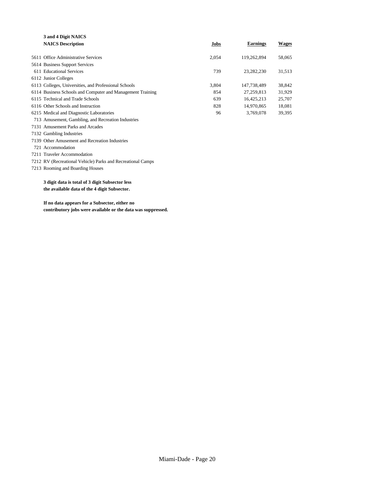| 3 and 4 Digit NAICS                                         |       |                 |              |
|-------------------------------------------------------------|-------|-----------------|--------------|
| <b>NAICS Description</b>                                    | Jobs  | <b>Earnings</b> | <b>Wages</b> |
| 5611 Office Administrative Services                         | 2,054 | 119,262,894     | 58,065       |
|                                                             |       |                 |              |
| 5614 Business Support Services                              |       |                 |              |
| 611 Educational Services                                    | 739   | 23,282,230      | 31,513       |
| 6112 Junior Colleges                                        |       |                 |              |
| 6113 Colleges, Universities, and Professional Schools       | 3,804 | 147,738,489     | 38,842       |
| 6114 Business Schools and Computer and Management Training  | 854   | 27,259,813      | 31,929       |
| 6115 Technical and Trade Schools                            | 639   | 16,425,213      | 25,707       |
| 6116 Other Schools and Instruction                          | 828   | 14,970,865      | 18,081       |
| 6215 Medical and Diagnostic Laboratories                    | 96    | 3,769,078       | 39,395       |
| 713 Amusement, Gambling, and Recreation Industries          |       |                 |              |
| 7131 Amusement Parks and Arcades                            |       |                 |              |
| 7132 Gambling Industries                                    |       |                 |              |
| 7139 Other Amusement and Recreation Industries              |       |                 |              |
| 721 Accommodation                                           |       |                 |              |
| 7211 Traveler Accommodation                                 |       |                 |              |
| 7212 RV (Recreational Vehicle) Parks and Recreational Camps |       |                 |              |
| 7213 Rooming and Boarding Houses                            |       |                 |              |
| 3 digit data is total of 3 digit Subsector less             |       |                 |              |

**the available data of the 4 digit Subsector.**

**If no data appears for a Subsector, either no contributory jobs were available or the data was suppressed.**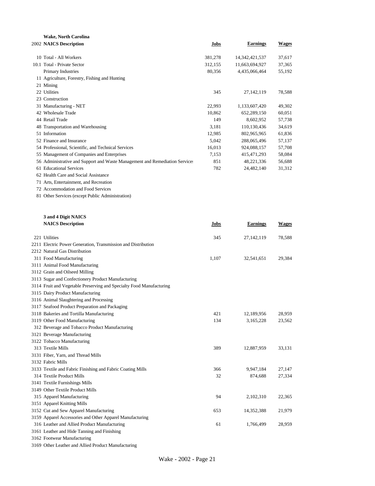| Wake, North Carolina                                                        |         |                   |              |
|-----------------------------------------------------------------------------|---------|-------------------|--------------|
| 2002 NAICS Description                                                      | Jobs    | <b>Earnings</b>   | <b>Wages</b> |
| 10 Total - All Workers                                                      | 381,278 | 14, 342, 421, 537 | 37,617       |
| 10.1 Total - Private Sector                                                 | 312,155 | 11,663,694,927    | 37,365       |
| Primary Industries                                                          | 80,356  | 4,435,066,464     | 55,192       |
| 11 Agriculture, Forestry, Fishing and Hunting                               |         |                   |              |
| 21 Mining                                                                   |         |                   |              |
| 22 Utilities                                                                | 345     | 27, 142, 119      | 78,588       |
| 23 Construction                                                             |         |                   |              |
| 31 Manufacturing - NET                                                      | 22,993  | 1,133,607,420     | 49,302       |
| 42 Wholesale Trade                                                          | 10.862  | 652.289.150       | 60,051       |
| 44 Retail Trade                                                             | 149     | 8,602,952         | 57,738       |
| 48 Transportation and Warehousing                                           | 3,181   | 110,130,436       | 34,619       |
| 51 Information                                                              | 12,985  | 802,965,965       | 61,836       |
| 52 Finance and Insurance                                                    | 5,042   | 288,065,496       | 57,137       |
| 54 Professional, Scientific, and Technical Services                         | 16,013  | 924,088,157       | 57,708       |
| 55 Management of Companies and Enterprises                                  | 7,153   | 415, 471, 293     | 58,084       |
| 56 Administrative and Support and Waste Management and Remediation Services | 851     | 48,221,336        | 56,688       |
| 61 Educational Services                                                     | 782     | 24,482,140        | 31,312       |
| 62 Health Care and Social Assistance                                        |         |                   |              |
| 71 Arts, Entertainment, and Recreation                                      |         |                   |              |
| 72 Accommodation and Food Services                                          |         |                   |              |
| 81 Other Services (except Public Administration)                            |         |                   |              |

**NAICS Description Jobs Earnings Wages**

| 221 Utilities                                                        | 345   | 27, 142, 119 | 78,588 |
|----------------------------------------------------------------------|-------|--------------|--------|
| 2211 Electric Power Generation, Transmission and Distribution        |       |              |        |
| 2212 Natural Gas Distribution                                        |       |              |        |
| 311 Food Manufacturing                                               | 1,107 | 32,541,651   | 29,384 |
| 3111 Animal Food Manufacturing                                       |       |              |        |
| 3112 Grain and Oilseed Milling                                       |       |              |        |
| 3113 Sugar and Confectionery Product Manufacturing                   |       |              |        |
| 3114 Fruit and Vegetable Preserving and Specialty Food Manufacturing |       |              |        |
| 3115 Dairy Product Manufacturing                                     |       |              |        |
| 3116 Animal Slaughtering and Processing                              |       |              |        |
| 3117 Seafood Product Preparation and Packaging                       |       |              |        |
| 3118 Bakeries and Tortilla Manufacturing                             | 421   | 12,189,956   | 28,959 |
| 3119 Other Food Manufacturing                                        | 134   | 3,165,228    | 23,562 |
| 312 Beverage and Tobacco Product Manufacturing                       |       |              |        |
| 3121 Beverage Manufacturing                                          |       |              |        |
| 3122 Tobacco Manufacturing                                           |       |              |        |
| 313 Textile Mills                                                    | 389   | 12,887,959   | 33,131 |
| 3131 Fiber, Yarn, and Thread Mills                                   |       |              |        |
| 3132 Fabric Mills                                                    |       |              |        |
| 3133 Textile and Fabric Finishing and Fabric Coating Mills           | 366   | 9.947.184    | 27,147 |
| 314 Textile Product Mills                                            | 32    | 874,688      | 27,334 |
| 3141 Textile Furnishings Mills                                       |       |              |        |
| 3149 Other Textile Product Mills                                     |       |              |        |
| 315 Apparel Manufacturing                                            | 94    | 2,102,310    | 22,365 |
| 3151 Apparel Knitting Mills                                          |       |              |        |
| 3152 Cut and Sew Apparel Manufacturing                               | 653   | 14,352,388   | 21,979 |
| 3159 Apparel Accessories and Other Apparel Manufacturing             |       |              |        |
| 316 Leather and Allied Product Manufacturing                         | 61    | 1,766,499    | 28,959 |
| 3161 Leather and Hide Tanning and Finishing                          |       |              |        |
| 3162 Footwear Manufacturing                                          |       |              |        |
|                                                                      |       |              |        |

**3 and 4 Digit NAICS**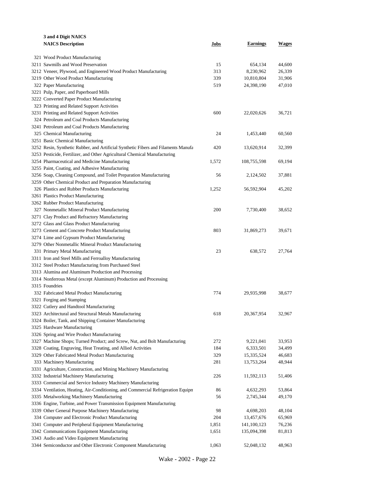| 3 and 4 Digit NAICS                                                                                       |       |                           |                  |
|-----------------------------------------------------------------------------------------------------------|-------|---------------------------|------------------|
| <b>NAICS Description</b>                                                                                  | Jobs  | <b>Earnings</b>           | <b>Wages</b>     |
|                                                                                                           |       |                           |                  |
| 321 Wood Product Manufacturing                                                                            |       |                           |                  |
| 3211 Sawmills and Wood Preservation                                                                       | 15    | 654,134                   | 44,600           |
| 3212 Veneer, Plywood, and Engineered Wood Product Manufacturing                                           | 313   | 8,230,962                 | 26,339           |
| 3219 Other Wood Product Manufacturing                                                                     | 339   | 10,810,804                | 31,906           |
| 322 Paper Manufacturing                                                                                   | 519   | 24,398,190                | 47,010           |
| 3221 Pulp, Paper, and Paperboard Mills                                                                    |       |                           |                  |
| 3222 Converted Paper Product Manufacturing                                                                |       |                           |                  |
| 323 Printing and Related Support Activities                                                               |       |                           |                  |
| 3231 Printing and Related Support Activities                                                              | 600   | 22,020,626                | 36,721           |
| 324 Petroleum and Coal Products Manufacturing                                                             |       |                           |                  |
| 3241 Petroleum and Coal Products Manufacturing                                                            |       |                           |                  |
| 325 Chemical Manufacturing                                                                                | 24    | 1,453,440                 | 60,560           |
| 3251 Basic Chemical Manufacturing                                                                         |       |                           |                  |
| 3252 Resin, Synthetic Rubber, and Artificial Synthetic Fibers and Filaments Manufa                        | 420   | 13,620,914                | 32,399           |
| 3253 Pesticide, Fertilizer, and Other Agricultural Chemical Manufacturing                                 |       |                           |                  |
| 3254 Pharmaceutical and Medicine Manufacturing                                                            | 1,572 | 108,755,598               | 69,194           |
| 3255 Paint, Coating, and Adhesive Manufacturing                                                           |       |                           |                  |
| 3256 Soap, Cleaning Compound, and Toilet Preparation Manufacturing                                        | 56    | 2,124,502                 | 37,881           |
| 3259 Other Chemical Product and Preparation Manufacturing                                                 |       |                           |                  |
| 326 Plastics and Rubber Products Manufacturing                                                            | 1,252 | 56,592,904                | 45,202           |
| 3261 Plastics Product Manufacturing                                                                       |       |                           |                  |
| 3262 Rubber Product Manufacturing                                                                         |       |                           |                  |
| 327 Nonmetallic Mineral Product Manufacturing                                                             | 200   | 7,730,400                 | 38,652           |
| 3271 Clay Product and Refractory Manufacturing                                                            |       |                           |                  |
| 3272 Glass and Glass Product Manufacturing                                                                |       |                           |                  |
| 3273 Cement and Concrete Product Manufacturing                                                            | 803   | 31,869,273                | 39,671           |
| 3274 Lime and Gypsum Product Manufacturing                                                                |       |                           |                  |
| 3279 Other Nonmetallic Mineral Product Manufacturing                                                      |       |                           |                  |
| 331 Primary Metal Manufacturing                                                                           | 23    | 638,572                   | 27,764           |
| 3311 Iron and Steel Mills and Ferroalloy Manufacturing                                                    |       |                           |                  |
| 3312 Steel Product Manufacturing from Purchased Steel                                                     |       |                           |                  |
| 3313 Alumina and Aluminum Production and Processing                                                       |       |                           |                  |
| 3314 Nonferrous Metal (except Aluminum) Production and Processing                                         |       |                           |                  |
| 3315 Foundries                                                                                            |       |                           |                  |
| 332 Fabricated Metal Product Manufacturing                                                                | 774   | 29,935,998                | 38,677           |
| 3321 Forging and Stamping                                                                                 |       |                           |                  |
| 3322 Cutlery and Handtool Manufacturing                                                                   |       |                           |                  |
| 3323 Architectural and Structural Metals Manufacturing                                                    | 618   | 20,367,954                | 32,967           |
| 3324 Boiler, Tank, and Shipping Container Manufacturing                                                   |       |                           |                  |
| 3325 Hardware Manufacturing                                                                               |       |                           |                  |
| 3326 Spring and Wire Product Manufacturing                                                                |       |                           |                  |
| 3327 Machine Shops; Turned Product; and Screw, Nut, and Bolt Manufacturing                                | 272   | 9,221,041                 | 33,953           |
| 3328 Coating, Engraving, Heat Treating, and Allied Activities                                             | 184   | 6,333,501                 | 34,499           |
| 3329 Other Fabricated Metal Product Manufacturing                                                         | 329   | 15,335,524                | 46,683           |
| 333 Machinery Manufacturing                                                                               | 281   | 13,753,264                | 48,944           |
| 3331 Agriculture, Construction, and Mining Machinery Manufacturing                                        |       |                           |                  |
| 3332 Industrial Machinery Manufacturing                                                                   | 226   | 11,592,113                | 51,406           |
| 3333 Commercial and Service Industry Machinery Manufacturing                                              |       |                           |                  |
| 3334 Ventilation, Heating, Air-Conditioning, and Commercial Refrigeration Equipm                          | 86    | 4,632,293                 | 53,864           |
| 3335 Metalworking Machinery Manufacturing                                                                 | 56    | 2,745,344                 | 49,170           |
| 3336 Engine, Turbine, and Power Transmission Equipment Manufacturing                                      |       |                           |                  |
| 3339 Other General Purpose Machinery Manufacturing                                                        | 98    | 4,698,203                 | 48,104           |
|                                                                                                           | 204   |                           |                  |
| 334 Computer and Electronic Product Manufacturing<br>3341 Computer and Peripheral Equipment Manufacturing | 1,851 | 13,457,676<br>141,100,123 | 65,969<br>76,236 |
| 3342 Communications Equipment Manufacturing                                                               | 1,651 |                           |                  |
| 3343 Audio and Video Equipment Manufacturing                                                              |       | 135,094,398               | 81,813           |
| 3344 Semiconductor and Other Electronic Component Manufacturing                                           | 1,063 |                           | 48,963           |
|                                                                                                           |       | 52,048,132                |                  |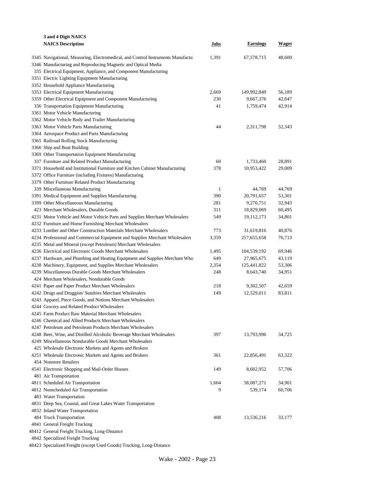| 3 and 4 Digit NAICS                                                              |              |                 |              |
|----------------------------------------------------------------------------------|--------------|-----------------|--------------|
| <b>NAICS Description</b>                                                         | Jobs         | <b>Earnings</b> | <b>Wages</b> |
|                                                                                  |              |                 |              |
| 3345 Navigational, Measuring, Electromedical, and Control Instruments Manufactul | 1,391        | 67,578,715      | 48,600       |
| 3346 Manufacturing and Reproducing Magnetic and Optical Media                    |              |                 |              |
| 335 Electrical Equipment, Appliance, and Component Manufacturing                 |              |                 |              |
| 3351 Electric Lighting Equipment Manufacturing                                   |              |                 |              |
| 3352 Household Appliance Manufacturing                                           |              |                 |              |
| 3353 Electrical Equipment Manufacturing                                          | 2,669        | 149,992,849     | 56,189       |
| 3359 Other Electrical Equipment and Component Manufacturing                      | 230          | 9,667,376       | 42,047       |
| 336 Transportation Equipment Manufacturing                                       | 41           | 1,759,474       | 42,914       |
| 3361 Motor Vehicle Manufacturing                                                 |              |                 |              |
| 3362 Motor Vehicle Body and Trailer Manufacturing                                |              |                 |              |
| 3363 Motor Vehicle Parts Manufacturing                                           | 44           | 2,311,798       | 52,343       |
| 3364 Aerospace Product and Parts Manufacturing                                   |              |                 |              |
| 3365 Railroad Rolling Stock Manufacturing                                        |              |                 |              |
| 3366 Ship and Boat Building                                                      |              |                 |              |
| 3369 Other Transportation Equipment Manufacturing                                |              |                 |              |
| 337 Furniture and Related Product Manufacturing                                  | 60           | 1,733,460       | 28,891       |
| 3371 Household and Institutional Furniture and Kitchen Cabinet Manufacturing     | 378          | 10,953,422      | 29,009       |
| 3372 Office Furniture (including Fixtures) Manufacturing                         |              |                 |              |
| 3379 Other Furniture Related Product Manufacturing                               |              |                 |              |
| 339 Miscellaneous Manufacturing                                                  | $\mathbf{1}$ | 44,769          | 44,769       |
| 3391 Medical Equipment and Supplies Manufacturing                                | 390          | 20,791,657      | 53,301       |
| 3399 Other Miscellaneous Manufacturing                                           | 281          | 9,270,751       | 32,943       |
| 423 Merchant Wholesalers, Durable Goods                                          | 311          | 18,829,069      | 60,495       |
| 4231 Motor Vehicle and Motor Vehicle Parts and Supplies Merchant Wholesalers     | 549          | 19, 112, 173    | 34,801       |
| 4232 Furniture and Home Furnishing Merchant Wholesalers                          |              |                 |              |
| 4233 Lumber and Other Construction Materials Merchant Wholesalers                | 773          | 31,619,816      | 40,876       |
| 4234 Professional and Commercial Equipment and Supplies Merchant Wholesalers     | 3,359        | 257,655,658     | 76,713       |
| 4235 Metal and Mineral (except Petroleum) Merchant Wholesalers                   |              |                 |              |
| 4236 Electrical and Electronic Goods Merchant Wholesalers                        | 1,495        | 104,539,192     | 69,946       |
| 4237 Hardware, and Plumbing and Heating Equipment and Supplies Merchant Who      | 649          | 27,965,675      | 43,119       |
| 4238 Machinery, Equipment, and Supplies Merchant Wholesalers                     | 2,354        | 125,441,822     | 53,306       |
| 4239 Miscellaneous Durable Goods Merchant Wholesalers                            | 248          | 8,643,740       | 34,951       |
| 424 Merchant Wholesalers, Nondurable Goods                                       |              |                 |              |
| 4241 Paper and Paper Product Merchant Wholesalers                                | 218          | 9,302,507       | 42,659       |
| 4242 Drugs and Druggists' Sundries Merchant Wholesalers                          | 149          | 12,529,011      | 83,811       |
| 4243 Apparel, Piece Goods, and Notions Merchant Wholesalers                      |              |                 |              |
| 4244 Grocery and Related Product Wholesalers                                     |              |                 |              |
| 4245 Farm Product Raw Material Merchant Wholesalers                              |              |                 |              |
| 4246 Chemical and Allied Products Merchant Wholesalers                           |              |                 |              |
| 4247 Petroleum and Petroleum Products Merchant Wholesalers                       |              |                 |              |
| 4248 Beer, Wine, and Distilled Alcoholic Beverage Merchant Wholesalers           | 397          | 13,793,996      | 34,725       |
| 4249 Miscellaneous Nondurable Goods Merchant Wholesalers                         |              |                 |              |
| 425 Wholesale Electronic Markets and Agents and Brokers                          |              |                 |              |
| 4251 Wholesale Electronic Markets and Agents and Brokers                         | 361          | 22,856,491      | 63,322       |
| 454 Nonstore Retailers                                                           |              |                 |              |
| 4541 Electronic Shopping and Mail-Order Houses                                   | 149          | 8,602,952       | 57,706       |
| 481 Air Transportation                                                           |              |                 |              |
|                                                                                  | 1,664        |                 | 34,901       |
| 4811 Scheduled Air Transportation                                                | 9            | 58,087,271      |              |
| 4812 Nonscheduled Air Transportation                                             |              | 539,174         | 60,706       |
| 483 Water Transportation                                                         |              |                 |              |
| 4831 Deep Sea, Coastal, and Great Lakes Water Transportation                     |              |                 |              |
| 4832 Inland Water Transportation                                                 |              |                 |              |
| 484 Truck Transportation                                                         | 408          | 13,536,216      | 33,177       |
| 4841 General Freight Trucking                                                    |              |                 |              |
| 48412 General Freight Trucking, Long-Distance                                    |              |                 |              |
| 4842 Specialized Freight Trucking                                                |              |                 |              |

Specialized Freight (except Used Goods) Trucking, Long-Distance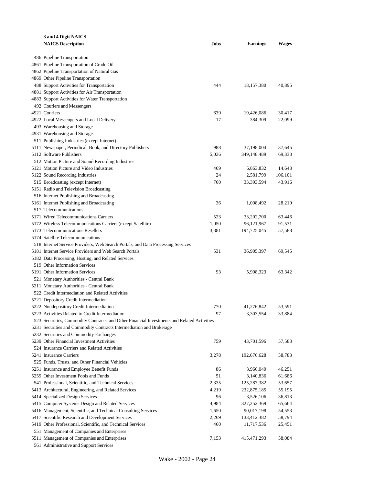| 3 and 4 Digit NAICS                                                                         |       |                 |         |
|---------------------------------------------------------------------------------------------|-------|-----------------|---------|
| <b>NAICS Description</b>                                                                    | Jobs  | <b>Earnings</b> | Wages   |
|                                                                                             |       |                 |         |
| 486 Pipeline Transportation                                                                 |       |                 |         |
| 4861 Pipeline Transportation of Crude Oil                                                   |       |                 |         |
| 4862 Pipeline Transportation of Natural Gas                                                 |       |                 |         |
| 4869 Other Pipeline Transportation                                                          |       |                 |         |
| 488 Support Activities for Transportation                                                   | 444   | 18, 157, 380    | 40,895  |
| 4881 Support Activities for Air Transportation                                              |       |                 |         |
| 4883 Support Activities for Water Transportation                                            |       |                 |         |
| 492 Couriers and Messengers                                                                 |       |                 |         |
| 4921 Couriers                                                                               | 639   | 19,426,086      | 30,417  |
| 4922 Local Messengers and Local Delivery                                                    | 17    | 384,309         | 22,099  |
| 493 Warehousing and Storage                                                                 |       |                 |         |
| 4931 Warehousing and Storage                                                                |       |                 |         |
| 511 Publishing Industries (except Internet)                                                 |       |                 |         |
| 5111 Newspaper, Periodical, Book, and Directory Publishers                                  | 988   | 37,198,004      | 37,645  |
| 5112 Software Publishers                                                                    | 5,036 | 349,148,489     | 69,333  |
| 512 Motion Picture and Sound Recording Industries                                           |       |                 |         |
| 5121 Motion Picture and Video Industries                                                    | 469   | 6,863,832       | 14.643  |
| 5122 Sound Recording Industries                                                             | 24    | 2,581,799       | 106,101 |
| 515 Broadcasting (except Internet)                                                          | 760   | 33, 393, 594    | 43,916  |
| 5151 Radio and Television Broadcasting                                                      |       |                 |         |
| 516 Internet Publishing and Broadcasting                                                    |       |                 |         |
| 5161 Internet Publishing and Broadcasting                                                   | 36    | 1,008,492       | 28,210  |
| 517 Telecommunications                                                                      |       |                 |         |
| 5171 Wired Telecommunications Carriers                                                      | 523   | 33,202,700      | 63,446  |
| 5172 Wireless Telecommunications Carriers (except Satellite)                                | 1,050 | 96,121,967      | 91,531  |
| 5173 Telecommunications Resellers                                                           | 3,381 | 194,725,045     | 57,588  |
| 5174 Satellite Telecommunications                                                           |       |                 |         |
| 518 Internet Service Providers, Web Search Portals, and Data Processing Services            |       |                 |         |
| 5181 Internet Service Providers and Web Search Portals                                      | 531   | 36,905,397      | 69,545  |
| 5182 Data Processing, Hosting, and Related Services                                         |       |                 |         |
| 519 Other Information Services                                                              |       |                 |         |
| 5191 Other Information Services                                                             | 93    | 5,908,323       | 63,342  |
| 521 Monetary Authorities - Central Bank                                                     |       |                 |         |
| 5211 Monetary Authorities - Central Bank                                                    |       |                 |         |
| 522 Credit Intermediation and Related Activities                                            |       |                 |         |
| 5221 Depository Credit Intermediation                                                       |       |                 |         |
| 5222 Nondepository Credit Intermediation                                                    | 770   | 41.276.842      | 53,591  |
| 5223 Activities Related to Credit Intermediation                                            | 97    | 3,303,554       | 33,884  |
| 523 Securities, Commodity Contracts, and Other Financial Investments and Related Activities |       |                 |         |
| 5231 Securities and Commodity Contracts Intermediation and Brokerage                        |       |                 |         |
| 5232 Securities and Commodity Exchanges                                                     |       |                 |         |
| 5239 Other Financial Investment Activities                                                  | 759   | 43,701,596      | 57,583  |
| 524 Insurance Carriers and Related Activities                                               |       |                 |         |
| 5241 Insurance Carriers                                                                     | 3,278 | 192,676,628     | 58,783  |
| 525 Funds, Trusts, and Other Financial Vehicles                                             |       |                 |         |
| 5251 Insurance and Employee Benefit Funds                                                   | 86    | 3,966,040       | 46,251  |
| 5259 Other Investment Pools and Funds                                                       | 51    | 3,140,836       | 61,686  |
| 541 Professional, Scientific, and Technical Services                                        | 2,335 | 125,287,382     | 53,657  |
| 5413 Architectural, Engineering, and Related Services                                       | 4,219 | 232,875,185     | 55,195  |
| 5414 Specialized Design Services                                                            | 96    | 3,526,106       | 36,813  |
| 5415 Computer Systems Design and Related Services                                           | 4,984 | 327,252,369     | 65,664  |
| 5416 Management, Scientific, and Technical Consulting Services                              | 1,650 | 90,017,198      | 54,553  |
| 5417 Scientific Research and Development Services                                           | 2,269 | 133,412,382     | 58,794  |
| 5419 Other Professional, Scientific, and Technical Services                                 | 460   | 11,717,536      | 25,451  |
| 551 Management of Companies and Enterprises                                                 |       |                 |         |
| 5511 Management of Companies and Enterprises                                                | 7,153 | 415, 471, 293   | 58,084  |
| 561 Administrative and Support Services                                                     |       |                 |         |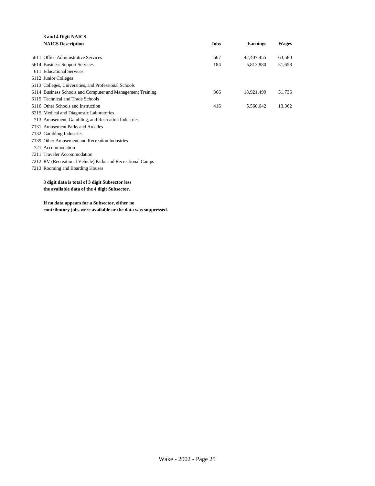| 3 and 4 Digit NAICS                                         |      |                 |              |
|-------------------------------------------------------------|------|-----------------|--------------|
| <b>NAICS Description</b>                                    | Jobs | <b>Earnings</b> | <b>Wages</b> |
|                                                             |      |                 |              |
| 5611 Office Administrative Services                         | 667  | 42,407,455      | 63,580       |
| 5614 Business Support Services                              | 184  | 5,813,880       | 31.658       |
| 611 Educational Services                                    |      |                 |              |
| 6112 Junior Colleges                                        |      |                 |              |
| 6113 Colleges, Universities, and Professional Schools       |      |                 |              |
| 6114 Business Schools and Computer and Management Training  | 366  | 18,921,499      | 51,736       |
| 6115 Technical and Trade Schools                            |      |                 |              |
| 6116 Other Schools and Instruction                          | 416  | 5,560,642       | 13,362       |
| 6215 Medical and Diagnostic Laboratories                    |      |                 |              |
| 713 Amusement, Gambling, and Recreation Industries          |      |                 |              |
| 7131 Amusement Parks and Arcades                            |      |                 |              |
| 7132 Gambling Industries                                    |      |                 |              |
| 7139 Other Amusement and Recreation Industries              |      |                 |              |
| 721 Accommodation                                           |      |                 |              |
| 7211 Traveler Accommodation                                 |      |                 |              |
| 7212 RV (Recreational Vehicle) Parks and Recreational Camps |      |                 |              |
| 7213 Rooming and Boarding Houses                            |      |                 |              |
|                                                             |      |                 |              |
| 3 digit data is total of 3 digit Subsector less             |      |                 |              |
| the available data of the 4 digit Subsector.                |      |                 |              |
|                                                             |      |                 |              |

**If no data appears for a Subsector, either no contributory jobs were available or the data was suppressed.**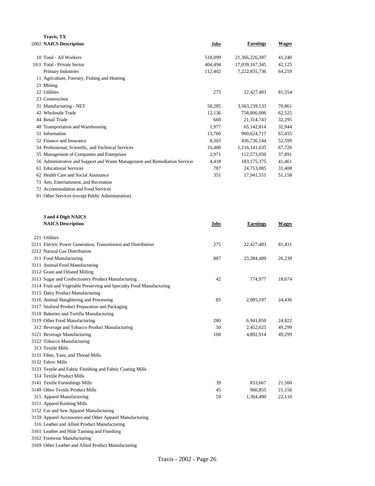| Travis, TX                                                                  |         |                 |              |
|-----------------------------------------------------------------------------|---------|-----------------|--------------|
| 2002 NAICS Description                                                      | Jobs    | <b>Earnings</b> | <b>Wages</b> |
| 10 Total - All Workers                                                      | 518,099 | 21,366,226,387  | 41,240       |
| 10.1 Total - Private Sector                                                 | 404,494 | 17,039,167,345  | 42,125       |
| Primary Industries                                                          | 112,402 | 7,222,835,736   | 64,259       |
| 11 Agriculture, Forestry, Fishing and Hunting                               |         |                 |              |
| 21 Mining                                                                   |         |                 |              |
| 22 Utilities                                                                | 275     | 22,427,483      | 81,554       |
| 23 Construction                                                             |         |                 |              |
| 31 Manufacturing - NET                                                      | 50,285  | 3,563,239,133   | 70,861       |
| 42 Wholesale Trade                                                          | 12,136  | 758,806,006     | 62,525       |
| 44 Retail Trade                                                             | 660     | 21,314,743      | 32,295       |
| 48 Transportation and Warehousing                                           | 1,977   | 65,142,814      | 32,944       |
| 51 Information                                                              | 13,760  | 900,624,717     | 65,455       |
| 52 Finance and Insurance                                                    | 8.303   | 436,736,144     | 52,599       |
| 54 Professional, Scientific, and Technical Services                         | 16,480  | 1,116,141,635   | 67,726       |
| 55 Management of Companies and Enterprises                                  | 2,971   | 112,573,050     | 37,891       |
| 56 Administrative and Support and Waste Management and Remediation Services | 4,418   | 183, 175, 375   | 41,461       |
| 61 Educational Services                                                     | 787     | 24,713,085      | 31,408       |
| 62 Health Care and Social Assistance                                        | 351     | 17,941,551      | 51,158       |
| 71 Arts, Entertainment, and Recreation                                      |         |                 |              |
| 72 Accommodation and Food Services                                          |         |                 |              |
| 81 Other Services (except Public Administration)                            |         |                 |              |

| 3 and 4 Digit NAICS                                                  |      |                 |              |
|----------------------------------------------------------------------|------|-----------------|--------------|
| <b>NAICS Description</b>                                             | Jobs | <b>Earnings</b> | <b>Wages</b> |
| 221 Utilities                                                        |      |                 |              |
| 2211 Electric Power Generation, Transmission and Distribution        | 275  | 22,427,483      | 81,431       |
| 2212 Natural Gas Distribution                                        |      |                 |              |
| 311 Food Manufacturing                                               | 887  | 23,284,489      | 26,239       |
| 3111 Animal Food Manufacturing                                       |      |                 |              |
| 3112 Grain and Oilseed Milling                                       |      |                 |              |
| 3113 Sugar and Confectionery Product Manufacturing                   | 42   | 774,977         | 18,674       |
| 3114 Fruit and Vegetable Preserving and Specialty Food Manufacturing |      |                 |              |
| 3115 Dairy Product Manufacturing                                     |      |                 |              |
| 3116 Animal Slaughtering and Processing                              | 85   | 2,085,197       | 24,436       |
| 3117 Seafood Product Preparation and Packaging                       |      |                 |              |
| 3118 Bakeries and Tortilla Manufacturing                             |      |                 |              |
| 3119 Other Food Manufacturing                                        | 280  | 6,941,850       | 24,822       |
| 312 Beverage and Tobacco Product Manufacturing                       | 50   | 2,452,625       | 49,299       |
| 3121 Beverage Manufacturing                                          | 100  | 4,892,914       | 49,299       |
| 3122 Tobacco Manufacturing                                           |      |                 |              |
| 313 Textile Mills                                                    |      |                 |              |
| 3131 Fiber, Yarn, and Thread Mills                                   |      |                 |              |
| 3132 Fabric Mills                                                    |      |                 |              |
| 3133 Textile and Fabric Finishing and Fabric Coating Mills           |      |                 |              |
| 314 Textile Product Mills                                            |      |                 |              |
| 3141 Textile Furnishings Mills                                       | 39   | 833,667         | 21,560       |
| 3149 Other Textile Product Mills                                     | 45   | 960,855         | 21,156       |
| 315 Apparel Manufacturing                                            | 59   | 1,304,490       | 22,110       |
| 3151 Apparel Knitting Mills                                          |      |                 |              |
| 3152 Cut and Sew Apparel Manufacturing                               |      |                 |              |
| 3159 Apparel Accessories and Other Apparel Manufacturing             |      |                 |              |
| 316 Leather and Allied Product Manufacturing                         |      |                 |              |
| 3161 Leather and Hide Tanning and Finishing                          |      |                 |              |
| 3162 Footwear Manufacturing                                          |      |                 |              |

Other Leather and Allied Product Manufacturing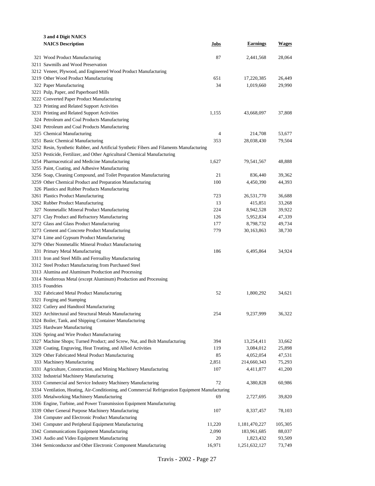| 3 and 4 Digit NAICS                                                                               |        |                 |              |
|---------------------------------------------------------------------------------------------------|--------|-----------------|--------------|
| <b>NAICS Description</b>                                                                          | Jobs   | <b>Earnings</b> | <b>Wages</b> |
|                                                                                                   |        |                 |              |
| 321 Wood Product Manufacturing                                                                    | 87     | 2,441,568       | 28,064       |
| 3211 Sawmills and Wood Preservation                                                               |        |                 |              |
| 3212 Veneer, Plywood, and Engineered Wood Product Manufacturing                                   |        |                 |              |
| 3219 Other Wood Product Manufacturing                                                             | 651    | 17,220,385      | 26,449       |
| 322 Paper Manufacturing                                                                           | 34     | 1,019,660       | 29,990       |
| 3221 Pulp, Paper, and Paperboard Mills                                                            |        |                 |              |
| 3222 Converted Paper Product Manufacturing                                                        |        |                 |              |
| 323 Printing and Related Support Activities                                                       |        |                 |              |
| 3231 Printing and Related Support Activities                                                      | 1,155  | 43,668,097      | 37,808       |
| 324 Petroleum and Coal Products Manufacturing                                                     |        |                 |              |
| 3241 Petroleum and Coal Products Manufacturing                                                    |        |                 |              |
| 325 Chemical Manufacturing                                                                        | 4      | 214,708         | 53,677       |
| 3251 Basic Chemical Manufacturing                                                                 | 353    | 28,038,430      | 79,504       |
| 3252 Resin, Synthetic Rubber, and Artificial Synthetic Fibers and Filaments Manufacturing         |        |                 |              |
| 3253 Pesticide, Fertilizer, and Other Agricultural Chemical Manufacturing                         |        |                 |              |
| 3254 Pharmaceutical and Medicine Manufacturing                                                    | 1,627  | 79,541,567      | 48,888       |
| 3255 Paint, Coating, and Adhesive Manufacturing                                                   |        |                 |              |
| 3256 Soap, Cleaning Compound, and Toilet Preparation Manufacturing                                | 21     | 836,440         | 39,362       |
| 3259 Other Chemical Product and Preparation Manufacturing                                         | 100    | 4,450,390       | 44,393       |
| 326 Plastics and Rubber Products Manufacturing                                                    |        |                 |              |
| 3261 Plastics Product Manufacturing                                                               | 723    | 26,531,770      | 36,688       |
| 3262 Rubber Product Manufacturing                                                                 | 13     | 415,851         | 33,268       |
| 327 Nonmetallic Mineral Product Manufacturing                                                     | 224    | 8,942,528       | 39,922       |
| 3271 Clay Product and Refractory Manufacturing                                                    | 126    | 5,952,834       | 47,339       |
| 3272 Glass and Glass Product Manufacturing                                                        | 177    | 8,798,732       | 49,734       |
| 3273 Cement and Concrete Product Manufacturing                                                    | 779    | 30,163,863      | 38,730       |
| 3274 Lime and Gypsum Product Manufacturing                                                        |        |                 |              |
| 3279 Other Nonmetallic Mineral Product Manufacturing                                              |        |                 |              |
| 331 Primary Metal Manufacturing                                                                   | 186    | 6,495,864       | 34,924       |
| 3311 Iron and Steel Mills and Ferroalloy Manufacturing                                            |        |                 |              |
| 3312 Steel Product Manufacturing from Purchased Steel                                             |        |                 |              |
| 3313 Alumina and Aluminum Production and Processing                                               |        |                 |              |
| 3314 Nonferrous Metal (except Aluminum) Production and Processing                                 |        |                 |              |
| 3315 Foundries                                                                                    |        |                 |              |
| 332 Fabricated Metal Product Manufacturing                                                        | 52     | 1,800,292       | 34,621       |
| 3321 Forging and Stamping                                                                         |        |                 |              |
| 3322 Cutlery and Handtool Manufacturing                                                           |        |                 |              |
| 3323 Architectural and Structural Metals Manufacturing                                            | 254    | 9,237,999       | 36,322       |
| 3324 Boiler, Tank, and Shipping Container Manufacturing                                           |        |                 |              |
| 3325 Hardware Manufacturing                                                                       |        |                 |              |
| 3326 Spring and Wire Product Manufacturing                                                        |        |                 |              |
| 3327 Machine Shops; Turned Product; and Screw, Nut, and Bolt Manufacturing                        | 394    | 13,254,411      | 33,662       |
| 3328 Coating, Engraving, Heat Treating, and Allied Activities                                     | 119    | 3,084,012       | 25,898       |
| 3329 Other Fabricated Metal Product Manufacturing                                                 | 85     | 4,052,054       | 47,531       |
| 333 Machinery Manufacturing                                                                       | 2,851  | 214,660,343     | 75,293       |
| 3331 Agriculture, Construction, and Mining Machinery Manufacturing                                | 107    | 4,411,877       | 41,200       |
| 3332 Industrial Machinery Manufacturing                                                           |        |                 |              |
| 3333 Commercial and Service Industry Machinery Manufacturing                                      | 72     | 4,380,828       | 60,986       |
| 3334 Ventilation, Heating, Air-Conditioning, and Commercial Refrigeration Equipment Manufacturing |        |                 |              |
| 3335 Metalworking Machinery Manufacturing                                                         | 69     | 2,727,695       | 39,820       |
| 3336 Engine, Turbine, and Power Transmission Equipment Manufacturing                              |        |                 |              |
| 3339 Other General Purpose Machinery Manufacturing                                                | 107    | 8,337,457       | 78,103       |
| 334 Computer and Electronic Product Manufacturing                                                 |        |                 |              |
| 3341 Computer and Peripheral Equipment Manufacturing                                              | 11,220 | 1,181,470,227   | 105,305      |
| 3342 Communications Equipment Manufacturing                                                       | 2,090  | 183,961,685     | 88,037       |
| 3343 Audio and Video Equipment Manufacturing                                                      | 20     | 1,823,432       | 93,509       |
| 3344 Semiconductor and Other Electronic Component Manufacturing                                   | 16,971 | 1,251,632,127   | 73,749       |
|                                                                                                   |        |                 |              |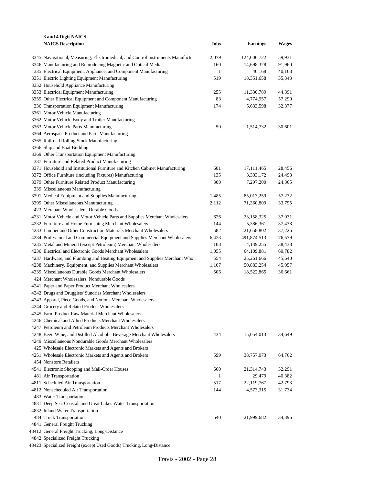| 3 and 4 Digit NAICS                                                              |              |                 |              |
|----------------------------------------------------------------------------------|--------------|-----------------|--------------|
| <b>NAICS Description</b>                                                         | Jobs         | <b>Earnings</b> | <b>Wages</b> |
|                                                                                  |              |                 |              |
| 3345 Navigational, Measuring, Electromedical, and Control Instruments Manufactur | 2,079        | 124,606,722     | 59,931       |
| 3346 Manufacturing and Reproducing Magnetic and Optical Media                    | 160          | 14,698,328      | 91,960       |
| 335 Electrical Equipment, Appliance, and Component Manufacturing                 | $\mathbf{1}$ | 40,168          | 40,168       |
| 3351 Electric Lighting Equipment Manufacturing                                   | 519          | 18,351,658      | 35,343       |
| 3352 Household Appliance Manufacturing                                           |              |                 |              |
| 3353 Electrical Equipment Manufacturing                                          | 255          | 11,330,789      | 44,391       |
| 3359 Other Electrical Equipment and Component Manufacturing                      | 83           | 4,774,957       | 57,299       |
| 336 Transportation Equipment Manufacturing                                       | 174          | 5,633,598       | 32,377       |
| 3361 Motor Vehicle Manufacturing                                                 |              |                 |              |
| 3362 Motor Vehicle Body and Trailer Manufacturing                                |              |                 |              |
| 3363 Motor Vehicle Parts Manufacturing                                           | 50           | 1,514,732       | 30,601       |
| 3364 Aerospace Product and Parts Manufacturing                                   |              |                 |              |
| 3365 Railroad Rolling Stock Manufacturing                                        |              |                 |              |
| 3366 Ship and Boat Building                                                      |              |                 |              |
| 3369 Other Transportation Equipment Manufacturing                                |              |                 |              |
| 337 Furniture and Related Product Manufacturing                                  |              |                 |              |
| 3371 Household and Institutional Furniture and Kitchen Cabinet Manufacturing     | 601          | 17, 111, 465    | 28,456       |
| 3372 Office Furniture (including Fixtures) Manufacturing                         | 135          | 3,303,172       | 24,498       |
| 3379 Other Furniture Related Product Manufacturing                               | 300          | 7,297,200       | 24,365       |
| 339 Miscellaneous Manufacturing                                                  |              |                 |              |
| 3391 Medical Equipment and Supplies Manufacturing                                | 1,485        | 85,013,259      | 57,232       |
| 3399 Other Miscellaneous Manufacturing                                           | 2,112        | 71,360,809      | 33,795       |
| 423 Merchant Wholesalers, Durable Goods                                          |              |                 |              |
| 4231 Motor Vehicle and Motor Vehicle Parts and Supplies Merchant Wholesalers     | 626          | 23,158,325      | 37,031       |
| 4232 Furniture and Home Furnishing Merchant Wholesalers                          | 144          | 5,386,361       | 37,438       |
| 4233 Lumber and Other Construction Materials Merchant Wholesalers                | 582          | 21,658,802      | 37,226       |
| 4234 Professional and Commercial Equipment and Supplies Merchant Wholesalers     | 6,423        | 491,874,513     | 76,579       |
| 4235 Metal and Mineral (except Petroleum) Merchant Wholesalers                   | 108          | 4,139,255       | 38,438       |
| 4236 Electrical and Electronic Goods Merchant Wholesalers                        | 1,055        | 64,109,881      | 60,782       |
| 4237 Hardware, and Plumbing and Heating Equipment and Supplies Merchant Who      | 554          | 25,261,666      | 45,640       |
| 4238 Machinery, Equipment, and Supplies Merchant Wholesalers                     | 1,107        | 50,883,254      | 45,957       |
| 4239 Miscellaneous Durable Goods Merchant Wholesalers                            | 506          | 18,522,865      | 36,661       |
| 424 Merchant Wholesalers, Nondurable Goods                                       |              |                 |              |
| 4241 Paper and Paper Product Merchant Wholesalers                                |              |                 |              |
| 4242 Drugs and Druggists' Sundries Merchant Wholesalers                          |              |                 |              |
| 4243 Apparel, Piece Goods, and Notions Merchant Wholesalers                      |              |                 |              |
| 4244 Grocery and Related Product Wholesalers                                     |              |                 |              |
|                                                                                  |              |                 |              |
| 4245 Farm Product Raw Material Merchant Wholesalers                              |              |                 |              |
| 4246 Chemical and Allied Products Merchant Wholesalers                           |              |                 |              |
| 4247 Petroleum and Petroleum Products Merchant Wholesalers                       |              |                 |              |
| 4248 Beer, Wine, and Distilled Alcoholic Beverage Merchant Wholesalers           | 434          | 15,054,013      | 34,649       |
| 4249 Miscellaneous Nondurable Goods Merchant Wholesalers                         |              |                 |              |
| 425 Wholesale Electronic Markets and Agents and Brokers                          |              |                 |              |
| 4251 Wholesale Electronic Markets and Agents and Brokers                         | 599          | 38,757,073      | 64,762       |
| 454 Nonstore Retailers                                                           |              |                 |              |
| 4541 Electronic Shopping and Mail-Order Houses                                   | 660          | 21,314,743      | 32,291       |
| 481 Air Transportation                                                           | 1            | 29,479          | 40,382       |
| 4811 Scheduled Air Transportation                                                | 517          | 22,119,767      | 42,793       |
| 4812 Nonscheduled Air Transportation                                             | 144          | 4,573,315       | 31,734       |
| 483 Water Transportation                                                         |              |                 |              |
| 4831 Deep Sea, Coastal, and Great Lakes Water Transportation                     |              |                 |              |
| 4832 Inland Water Transportation                                                 |              |                 |              |
| 484 Truck Transportation                                                         | 640          | 21,999,682      | 34,396       |
| 4841 General Freight Trucking                                                    |              |                 |              |
| 48412 General Freight Trucking, Long-Distance                                    |              |                 |              |
| 4842 Specialized Freight Trucking                                                |              |                 |              |

Specialized Freight (except Used Goods) Trucking, Long-Distance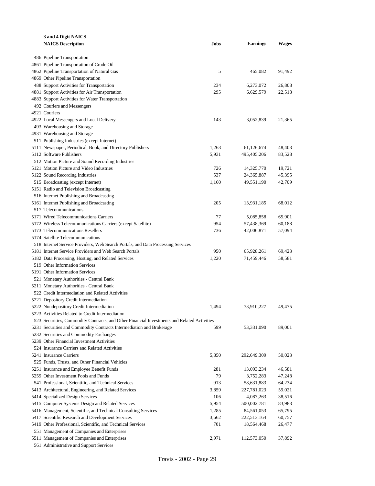| 3 and 4 Digit NAICS                                                                                                                                                                                |       |                 |        |  |  |
|----------------------------------------------------------------------------------------------------------------------------------------------------------------------------------------------------|-------|-----------------|--------|--|--|
| <b>NAICS Description</b>                                                                                                                                                                           | Jobs  | <b>Earnings</b> | Wages  |  |  |
|                                                                                                                                                                                                    |       |                 |        |  |  |
| 486 Pipeline Transportation                                                                                                                                                                        |       |                 |        |  |  |
| 4861 Pipeline Transportation of Crude Oil                                                                                                                                                          |       |                 |        |  |  |
| 4862 Pipeline Transportation of Natural Gas                                                                                                                                                        | 5     | 465,082         | 91,492 |  |  |
| 4869 Other Pipeline Transportation                                                                                                                                                                 |       |                 |        |  |  |
| 488 Support Activities for Transportation                                                                                                                                                          | 234   | 6,273,072       | 26,808 |  |  |
| 4881 Support Activities for Air Transportation                                                                                                                                                     | 295   | 6,629,579       | 22,518 |  |  |
| 4883 Support Activities for Water Transportation                                                                                                                                                   |       |                 |        |  |  |
| 492 Couriers and Messengers                                                                                                                                                                        |       |                 |        |  |  |
| 4921 Couriers                                                                                                                                                                                      |       |                 |        |  |  |
| 4922 Local Messengers and Local Delivery                                                                                                                                                           | 143   | 3,052,839       | 21,365 |  |  |
| 493 Warehousing and Storage                                                                                                                                                                        |       |                 |        |  |  |
| 4931 Warehousing and Storage                                                                                                                                                                       |       |                 |        |  |  |
| 511 Publishing Industries (except Internet)                                                                                                                                                        |       |                 |        |  |  |
| 5111 Newspaper, Periodical, Book, and Directory Publishers                                                                                                                                         | 1,263 | 61,126,674      | 48,403 |  |  |
| 5112 Software Publishers                                                                                                                                                                           | 5,931 | 495,405,206     | 83,528 |  |  |
| 512 Motion Picture and Sound Recording Industries                                                                                                                                                  |       |                 |        |  |  |
| 5121 Motion Picture and Video Industries                                                                                                                                                           | 726   | 14,325,770      | 19,721 |  |  |
| 5122 Sound Recording Industries                                                                                                                                                                    | 537   | 24,365,887      | 45,395 |  |  |
| 515 Broadcasting (except Internet)                                                                                                                                                                 | 1,160 | 49,551,190      | 42,709 |  |  |
| 5151 Radio and Television Broadcasting                                                                                                                                                             |       |                 |        |  |  |
| 516 Internet Publishing and Broadcasting                                                                                                                                                           |       |                 |        |  |  |
| 5161 Internet Publishing and Broadcasting                                                                                                                                                          | 205   | 13,931,185      | 68,012 |  |  |
| 517 Telecommunications                                                                                                                                                                             |       |                 |        |  |  |
| 5171 Wired Telecommunications Carriers                                                                                                                                                             | 77    | 5,085,858       | 65,901 |  |  |
| 5172 Wireless Telecommunications Carriers (except Satellite)                                                                                                                                       | 954   | 57,438,369      | 60,188 |  |  |
| 5173 Telecommunications Resellers                                                                                                                                                                  | 736   | 42,006,871      | 57,094 |  |  |
| 5174 Satellite Telecommunications                                                                                                                                                                  |       |                 |        |  |  |
| 518 Internet Service Providers, Web Search Portals, and Data Processing Services                                                                                                                   |       |                 |        |  |  |
| 5181 Internet Service Providers and Web Search Portals                                                                                                                                             | 950   | 65,928,261      | 69,423 |  |  |
| 5182 Data Processing, Hosting, and Related Services                                                                                                                                                | 1,220 | 71,459,446      | 58,581 |  |  |
| 519 Other Information Services<br>5191 Other Information Services                                                                                                                                  |       |                 |        |  |  |
|                                                                                                                                                                                                    |       |                 |        |  |  |
| 521 Monetary Authorities - Central Bank<br>5211 Monetary Authorities - Central Bank                                                                                                                |       |                 |        |  |  |
| 522 Credit Intermediation and Related Activities                                                                                                                                                   |       |                 |        |  |  |
|                                                                                                                                                                                                    |       |                 |        |  |  |
| 5221 Depository Credit Intermediation                                                                                                                                                              | 1.494 |                 | 49,475 |  |  |
| 5222 Nondepository Credit Intermediation                                                                                                                                                           |       | 73,910,227      |        |  |  |
| 5223 Activities Related to Credit Intermediation                                                                                                                                                   |       |                 |        |  |  |
| 523 Securities, Commodity Contracts, and Other Financial Investments and Related Activities<br>5231 Securities and Commodity Contracts Intermediation and Brokerage<br>599<br>89,001<br>53,331,090 |       |                 |        |  |  |
| 5232 Securities and Commodity Exchanges                                                                                                                                                            |       |                 |        |  |  |
| 5239 Other Financial Investment Activities                                                                                                                                                         |       |                 |        |  |  |
| 524 Insurance Carriers and Related Activities                                                                                                                                                      |       |                 |        |  |  |
| 5241 Insurance Carriers                                                                                                                                                                            | 5,850 | 292,649,309     | 50,023 |  |  |
| 525 Funds, Trusts, and Other Financial Vehicles                                                                                                                                                    |       |                 |        |  |  |
| 5251 Insurance and Employee Benefit Funds                                                                                                                                                          | 281   | 13,093,234      | 46,581 |  |  |
| 5259 Other Investment Pools and Funds                                                                                                                                                              | 79    | 3,752,283       | 47,248 |  |  |
| 541 Professional, Scientific, and Technical Services                                                                                                                                               | 913   | 58,631,883      | 64,234 |  |  |
| 5413 Architectural, Engineering, and Related Services                                                                                                                                              | 3,859 | 227,781,023     | 59,021 |  |  |
| 5414 Specialized Design Services                                                                                                                                                                   | 106   | 4,087,263       | 38,516 |  |  |
| 5415 Computer Systems Design and Related Services                                                                                                                                                  | 5,954 | 500,002,781     | 83,983 |  |  |
| 5416 Management, Scientific, and Technical Consulting Services                                                                                                                                     | 1,285 | 84,561,053      | 65,795 |  |  |
| 5417 Scientific Research and Development Services                                                                                                                                                  | 3,662 | 222,513,164     | 60,757 |  |  |
| 5419 Other Professional, Scientific, and Technical Services                                                                                                                                        | 701   | 18,564,468      | 26,477 |  |  |
| 551 Management of Companies and Enterprises                                                                                                                                                        |       |                 |        |  |  |
| 5511 Management of Companies and Enterprises                                                                                                                                                       | 2,971 | 112,573,050     | 37,892 |  |  |
| 561 Administrative and Support Services                                                                                                                                                            |       |                 |        |  |  |
|                                                                                                                                                                                                    |       |                 |        |  |  |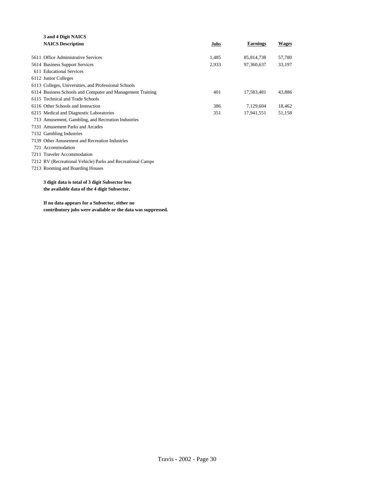| 3 and 4 Digit NAICS                                         |       |                 |              |  |  |  |
|-------------------------------------------------------------|-------|-----------------|--------------|--|--|--|
| <b>NAICS Description</b>                                    | Jobs  | <b>Earnings</b> | <b>Wages</b> |  |  |  |
|                                                             |       |                 |              |  |  |  |
| 5611 Office Administrative Services                         | 1,485 | 85,814,738      | 57,780       |  |  |  |
| 5614 Business Support Services                              | 2,933 | 97,360,637      | 33,197       |  |  |  |
| 611 Educational Services                                    |       |                 |              |  |  |  |
| 6112 Junior Colleges                                        |       |                 |              |  |  |  |
| 6113 Colleges, Universities, and Professional Schools       |       |                 |              |  |  |  |
| 6114 Business Schools and Computer and Management Training  | 401   | 17,583,481      | 43,886       |  |  |  |
| 6115 Technical and Trade Schools                            |       |                 |              |  |  |  |
| 6116 Other Schools and Instruction                          | 386   | 7.129.604       | 18,462       |  |  |  |
| 6215 Medical and Diagnostic Laboratories                    | 351   | 17,941,551      | 51,158       |  |  |  |
| 713 Amusement, Gambling, and Recreation Industries          |       |                 |              |  |  |  |
| 7131 Amusement Parks and Arcades                            |       |                 |              |  |  |  |
| 7132 Gambling Industries                                    |       |                 |              |  |  |  |
| 7139 Other Amusement and Recreation Industries              |       |                 |              |  |  |  |
| 721 Accommodation                                           |       |                 |              |  |  |  |
| 7211 Traveler Accommodation                                 |       |                 |              |  |  |  |
| 7212 RV (Recreational Vehicle) Parks and Recreational Camps |       |                 |              |  |  |  |
| 7213 Rooming and Boarding Houses                            |       |                 |              |  |  |  |
|                                                             |       |                 |              |  |  |  |
| 3 digit data is total of 3 digit Subsector less             |       |                 |              |  |  |  |
| the available data of the 4 digit Subsector.                |       |                 |              |  |  |  |
|                                                             |       |                 |              |  |  |  |

**If no data appears for a Subsector, either no contributory jobs were available or the data was suppressed.**